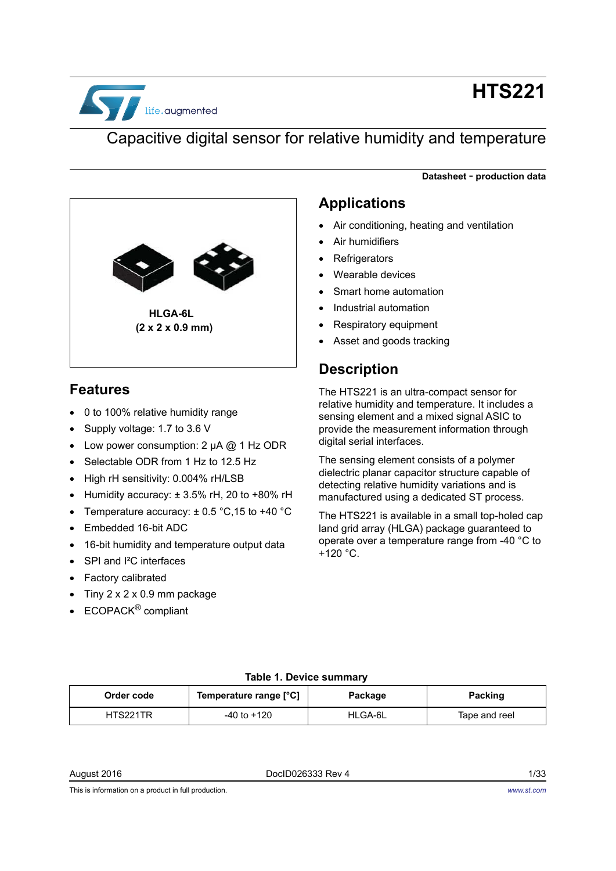

# **HTS221**

**Datasheet** - **production data**

## Capacitive digital sensor for relative humidity and temperature



### **Features**

- 0 to 100% relative humidity range
- Supply voltage: 1.7 to 3.6 V
- Low power consumption: 2 μA @ 1 Hz ODR
- Selectable ODR from 1 Hz to 12.5 Hz
- High rH sensitivity: 0.004% rH/LSB
- Humidity accuracy:  $\pm 3.5\%$  rH, 20 to +80% rH
- Temperature accuracy:  $\pm$  0.5 °C, 15 to +40 °C
- Embedded 16-bit ADC
- 16-bit humidity and temperature output data
- SPI and I<sup>2</sup>C interfaces
- Factory calibrated
- Tiny 2 x 2 x 0.9 mm package
- ECOPACK® compliant

### **Applications**

- Air conditioning, heating and ventilation
- Air humidifiers
- **Refrigerators**
- Wearable devices
- Smart home automation
- Industrial automation
- Respiratory equipment
- Asset and goods tracking

### **Description**

The HTS221 is an ultra-compact sensor for relative humidity and temperature. It includes a sensing element and a mixed signal ASIC to provide the measurement information through digital serial interfaces.

The sensing element consists of a polymer dielectric planar capacitor structure capable of detecting relative humidity variations and is manufactured using a dedicated ST process.

The HTS221 is available in a small top-holed cap land grid array (HLGA) package guaranteed to operate over a temperature range from -40 °C to +120 °C.

#### **Table 1. Device summary**

<span id="page-0-0"></span>

| Order code | Temperature range [°C] | Package | Packing       |
|------------|------------------------|---------|---------------|
| HTS221TR   | $-40$ to $+120$        | HLGA-6L | Tape and reel |

August 2016 **DociD026333 Rev 4** 2016 **DociD026333 Rev 4** 

This is information on a product in full production.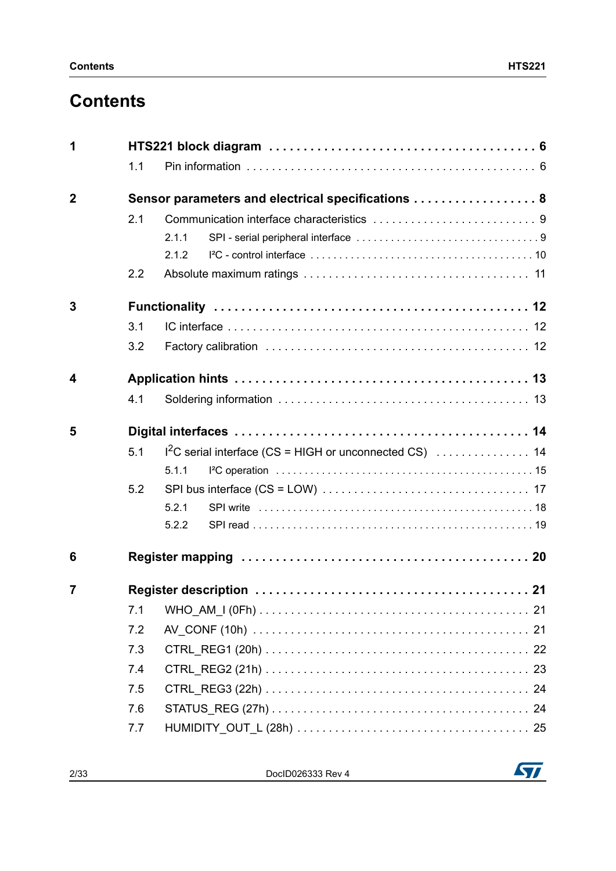# **Contents**

| 1           |                                                    |       |  |  |  |  |
|-------------|----------------------------------------------------|-------|--|--|--|--|
|             | 1.1                                                |       |  |  |  |  |
| $\mathbf 2$ | Sensor parameters and electrical specifications  8 |       |  |  |  |  |
|             | 2.1                                                |       |  |  |  |  |
|             |                                                    | 2.1.1 |  |  |  |  |
|             |                                                    | 2.1.2 |  |  |  |  |
|             | 2.2                                                |       |  |  |  |  |
| 3           |                                                    |       |  |  |  |  |
|             | 3.1                                                |       |  |  |  |  |
|             | 3.2                                                |       |  |  |  |  |
| 4           |                                                    |       |  |  |  |  |
|             | 4.1                                                |       |  |  |  |  |
| 5           |                                                    |       |  |  |  |  |
|             | 5.1                                                |       |  |  |  |  |
|             |                                                    | 5.1.1 |  |  |  |  |
|             | 5.2                                                |       |  |  |  |  |
|             |                                                    | 5.2.1 |  |  |  |  |
|             |                                                    | 5.2.2 |  |  |  |  |
| 6           |                                                    |       |  |  |  |  |
| 7           |                                                    |       |  |  |  |  |
|             | 7.1                                                |       |  |  |  |  |
|             | 7.2                                                |       |  |  |  |  |
|             | 7.3                                                |       |  |  |  |  |
|             | 7.4                                                |       |  |  |  |  |
|             | 7.5                                                |       |  |  |  |  |
|             | 7.6                                                |       |  |  |  |  |
|             | 7.7                                                |       |  |  |  |  |

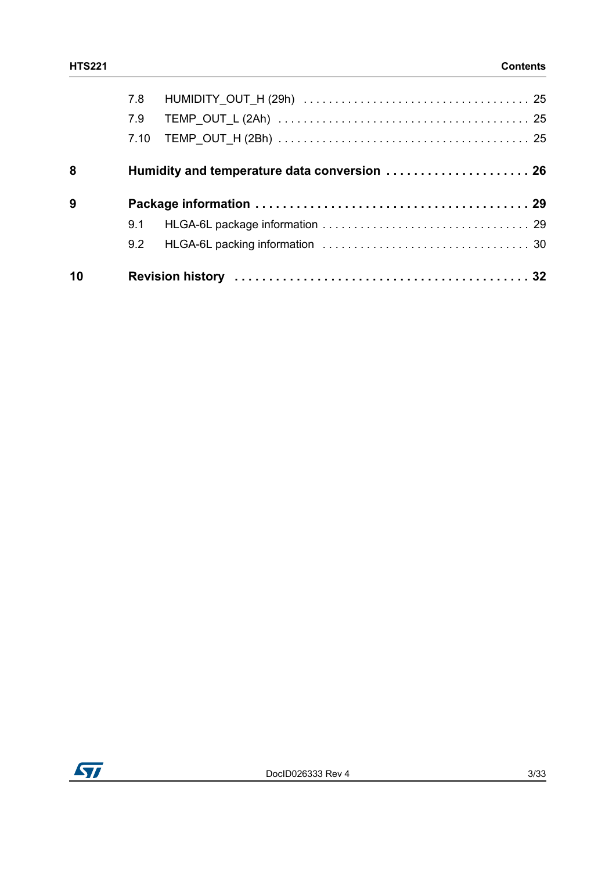|   | 7.8 |                                              |  |
|---|-----|----------------------------------------------|--|
|   | 7.9 |                                              |  |
|   |     |                                              |  |
| 8 |     | Humidity and temperature data conversion  26 |  |
|   |     |                                              |  |
| 9 |     |                                              |  |
|   | 9.1 |                                              |  |
|   | 9.2 |                                              |  |

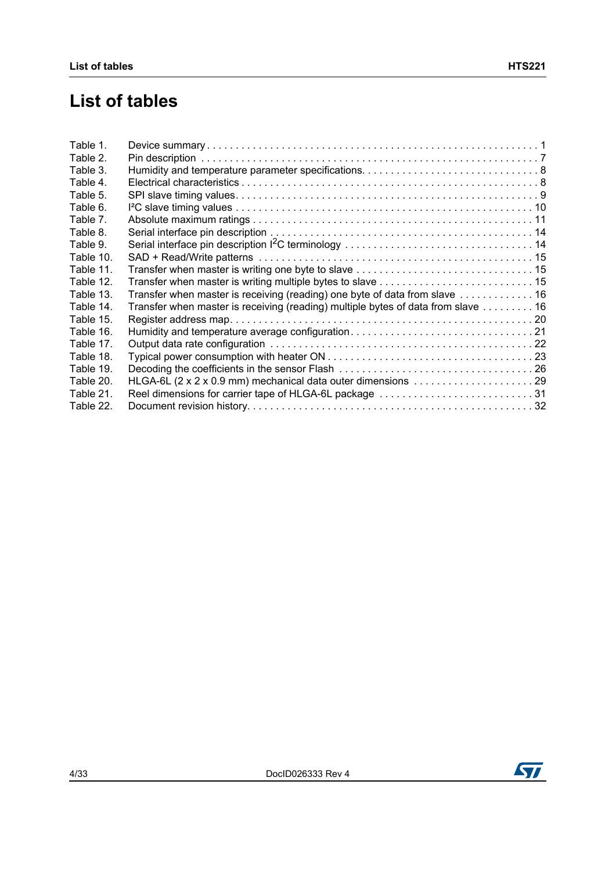# **List of tables**

| Table 1.  |                                                                                                                           |
|-----------|---------------------------------------------------------------------------------------------------------------------------|
| Table 2.  |                                                                                                                           |
| Table 3.  |                                                                                                                           |
| Table 4.  |                                                                                                                           |
| Table 5.  |                                                                                                                           |
| Table 6.  |                                                                                                                           |
| Table 7.  |                                                                                                                           |
| Table 8.  |                                                                                                                           |
| Table 9.  |                                                                                                                           |
| Table 10. |                                                                                                                           |
| Table 11. |                                                                                                                           |
| Table 12. |                                                                                                                           |
| Table 13. | Transfer when master is receiving (reading) one byte of data from slave  16                                               |
| Table 14. | Transfer when master is receiving (reading) multiple bytes of data from slave 16                                          |
| Table 15. |                                                                                                                           |
| Table 16. |                                                                                                                           |
| Table 17. |                                                                                                                           |
| Table 18. |                                                                                                                           |
| Table 19. |                                                                                                                           |
| Table 20. | HLGA-6L $(2 \times 2 \times 0.9 \text{ mm})$ mechanical data outer dimensions $\ldots \ldots \ldots \ldots \ldots \ldots$ |
| Table 21. | Reel dimensions for carrier tape of HLGA-6L package 31                                                                    |
| Table 22. |                                                                                                                           |

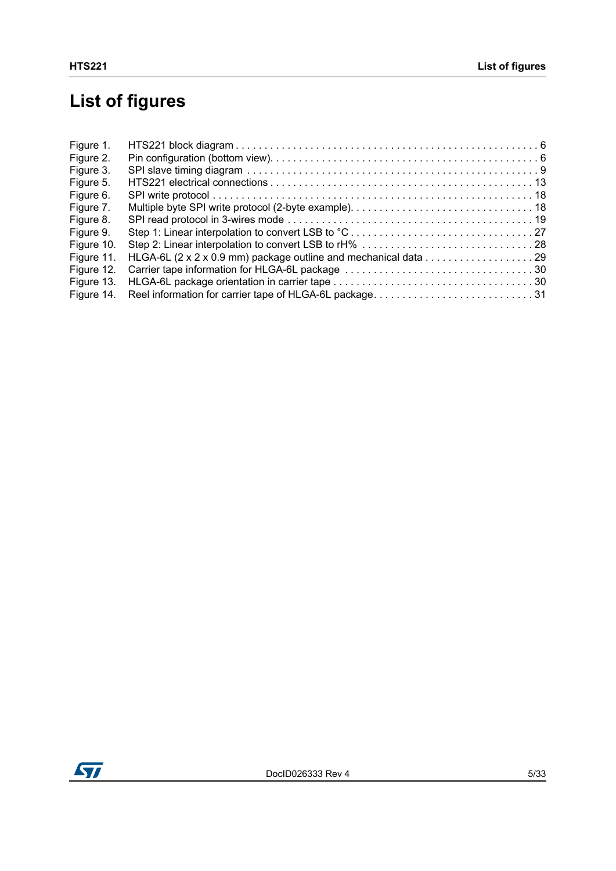# **List of figures**

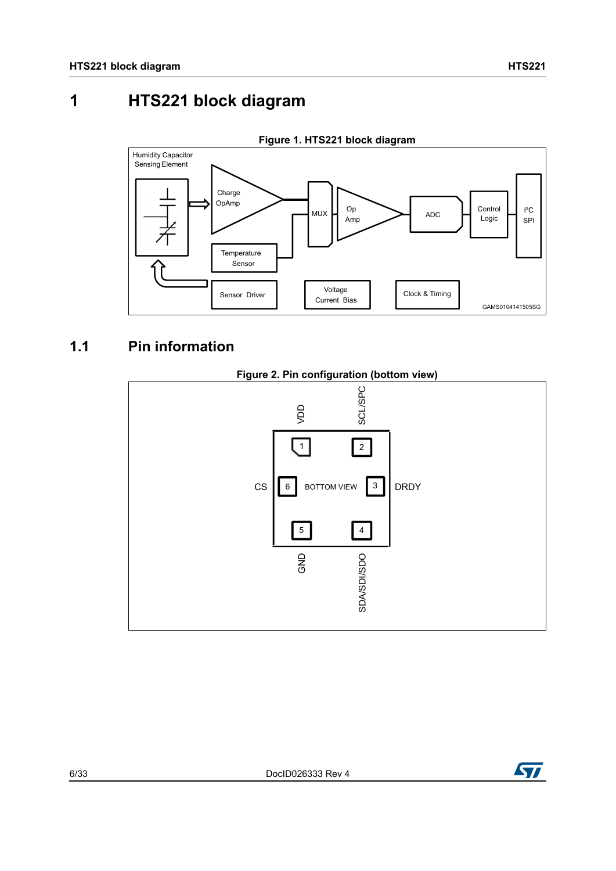# <span id="page-5-0"></span>**1 HTS221 block diagram**

<span id="page-5-2"></span>

### <span id="page-5-1"></span>**1.1 Pin information**

<span id="page-5-3"></span>



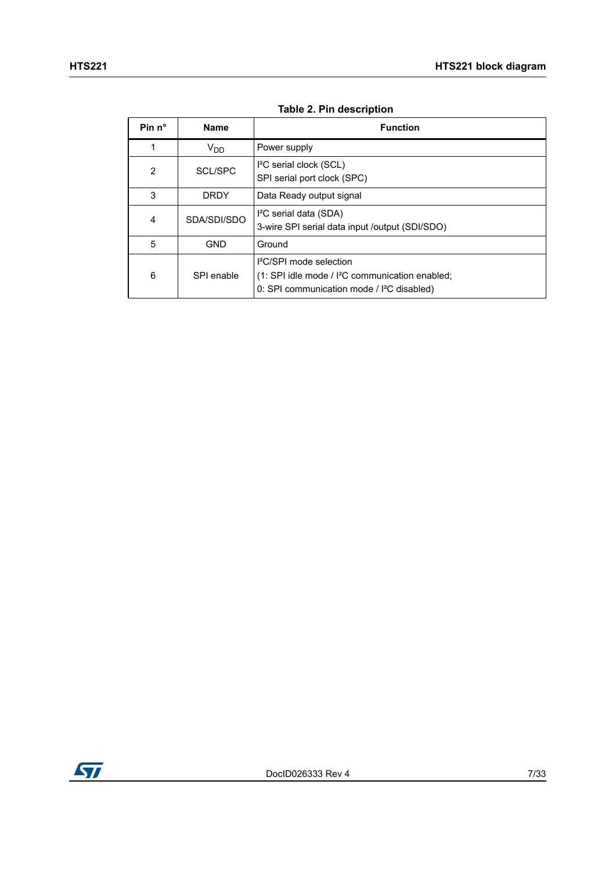<span id="page-6-0"></span>

| Pin $n^{\circ}$ | <b>Name</b> | <b>Function</b>                                                                                                                                           |
|-----------------|-------------|-----------------------------------------------------------------------------------------------------------------------------------------------------------|
|                 | $V_{DD}$    | Power supply                                                                                                                                              |
| 2               | SCL/SPC     | I <sup>2</sup> C serial clock (SCL)<br>SPI serial port clock (SPC)                                                                                        |
| 3               | <b>DRDY</b> | Data Ready output signal                                                                                                                                  |
| $\overline{4}$  | SDA/SDI/SDO | I <sup>2</sup> C serial data (SDA)<br>3-wire SPI serial data input /output (SDI/SDO)                                                                      |
| 5               | <b>GND</b>  | Ground                                                                                                                                                    |
| 6               | SPI enable  | <sup>2</sup> C/SPI mode selection<br>(1: SPI idle mode / I <sup>2</sup> C communication enabled;<br>0: SPI communication mode / <sup>12</sup> C disabled) |

#### **Table 2. Pin description**

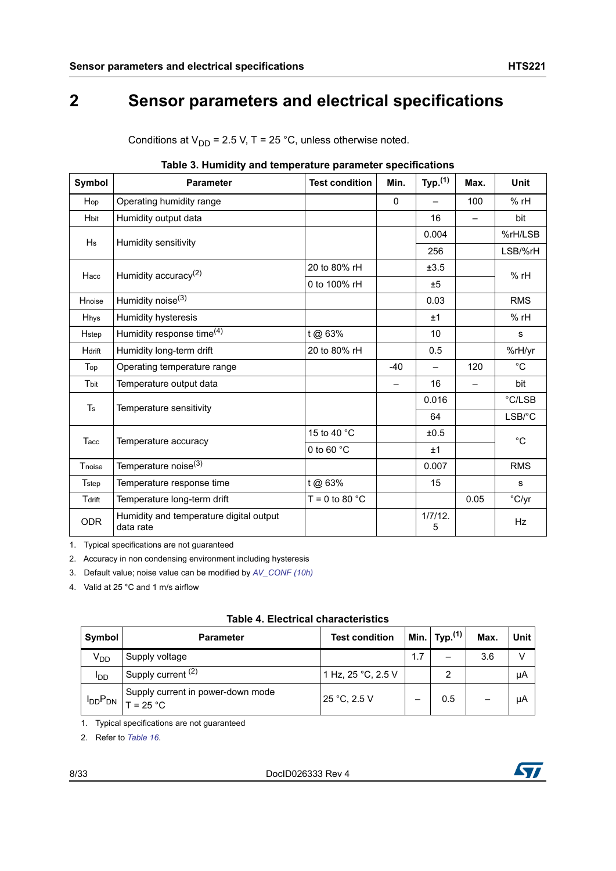# <span id="page-7-0"></span>**2 Sensor parameters and electrical specifications**

<span id="page-7-1"></span>

| Table 5. Humlully and temperature parameter specifications |                                                      |                       |       |                     |      |                |  |
|------------------------------------------------------------|------------------------------------------------------|-----------------------|-------|---------------------|------|----------------|--|
| Symbol                                                     | <b>Parameter</b>                                     | <b>Test condition</b> | Min.  | Typ. <sup>(1)</sup> | Max. | <b>Unit</b>    |  |
| Hop                                                        | Operating humidity range                             |                       | 0     |                     | 100  | $%$ rH         |  |
| Hbit                                                       | Humidity output data                                 |                       |       | 16                  |      | bit            |  |
| Hs                                                         | Humidity sensitivity                                 |                       |       | 0.004               |      | %rH/LSB        |  |
|                                                            |                                                      |                       |       | 256                 |      | LSB/%rH        |  |
| Hacc                                                       | Humidity accuracy <sup>(2)</sup>                     | 20 to 80% rH          |       | ±3.5                |      | $%$ rH         |  |
|                                                            |                                                      | 0 to 100% rH          |       | ±5                  |      |                |  |
| Hnoise                                                     | Humidity noise <sup>(3)</sup>                        |                       |       | 0.03                |      | <b>RMS</b>     |  |
| <b>Hhys</b>                                                | Humidity hysteresis                                  |                       |       | ±1                  |      | $%$ rH         |  |
| <b>H</b> step                                              | Humidity response time <sup>(4)</sup>                | t @ 63%               |       | 10                  |      | s              |  |
| Hdrift                                                     | Humidity long-term drift                             | 20 to 80% rH          |       | 0.5                 |      | %rH/yr         |  |
| Top                                                        | Operating temperature range                          |                       | $-40$ |                     | 120  | $^{\circ}C$    |  |
| Tbit                                                       | Temperature output data                              |                       | —     | 16                  |      | bit            |  |
| $\mathsf T$ s                                              |                                                      |                       |       | 0.016               |      | °C/LSB         |  |
|                                                            | Temperature sensitivity                              |                       |       | 64                  |      | LSB/°C         |  |
| Tacc                                                       |                                                      | 15 to 40 °C           |       | ±0.5                |      | $^{\circ}C$    |  |
|                                                            | Temperature accuracy                                 | 0 to 60 $°C$          |       | ±1                  |      |                |  |
| Tnoise                                                     | Temperature noise <sup>(3)</sup>                     |                       |       | 0.007               |      | <b>RMS</b>     |  |
| Tstep                                                      | Temperature response time                            | t @ 63%               |       | 15                  |      | s              |  |
| Tdrift                                                     | Temperature long-term drift                          | $T = 0$ to 80 °C      |       |                     | 0.05 | $\degree$ C/yr |  |
| <b>ODR</b>                                                 | Humidity and temperature digital output<br>data rate |                       |       | $1/7/12$ .<br>5     |      | <b>Hz</b>      |  |

Conditions at  $V_{DD}$  = 2.5 V, T = 25 °C, unless otherwise noted.

### **Table 3. Humidity and temperature parameter specifications**

1. Typical specifications are not guaranteed

2. Accuracy in non condensing environment including hysteresis

<span id="page-7-3"></span>3. Default value; noise value can be modified by *[AV\\_CONF \(10h\)](#page-20-2)*

4. Valid at 25 °C and 1 m/s airflow

<span id="page-7-2"></span>

| Symbol          | <b>Parameter</b>                                 | <b>Test condition</b> |     | Min. $y_p^{(1)}$ | Max. | Unit |
|-----------------|--------------------------------------------------|-----------------------|-----|------------------|------|------|
| V <sub>DD</sub> | Supply voltage                                   |                       | 1.7 |                  | 3.6  |      |
| ססי             | Supply current (2)                               | 1 Hz, 25 °C, 2.5 V    |     | 2                |      | μA   |
| $I_{DD}P_{DN}$  | Supply current in power-down mode<br>$T = 25 °C$ | 25 °C, 2.5 V          |     | 0.5              |      | μA   |

| <b>Table 4. Electrical characteristics</b> |  |  |  |
|--------------------------------------------|--|--|--|
|--------------------------------------------|--|--|--|

1. Typical specifications are not guaranteed

2. Refer to *[Table 16](#page-20-3)*.

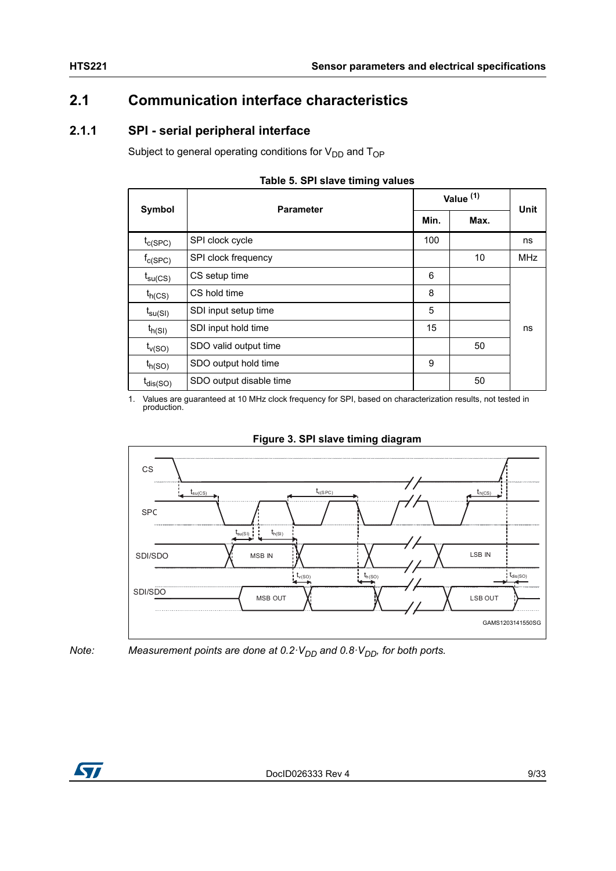### <span id="page-8-0"></span>**2.1 Communication interface characteristics**

### <span id="page-8-1"></span>**2.1.1 SPI - serial peripheral interface**

Subject to general operating conditions for  $V_{DD}$  and  $T_{OP}$ 

<span id="page-8-2"></span>

| Symbol              | <b>Parameter</b>        | Value <sup>(1)</sup> | Unit |            |
|---------------------|-------------------------|----------------------|------|------------|
|                     |                         |                      | Max. |            |
| $t_{c(SPC)}$        | SPI clock cycle         | 100                  |      | ns         |
| $f_{C(SPC)}$        | SPI clock frequency     |                      | 10   | <b>MHz</b> |
| $t_{\text{su(CS)}}$ | CS setup time           | 6                    |      |            |
| $t_{h(CS)}$         | CS hold time            | 8                    |      |            |
| $t_{\text{su(SI)}}$ | SDI input setup time    | 5                    |      |            |
| $t_{h(SI)}$         | SDI input hold time     | 15                   |      | ns         |
| $t_{v(SO)}$         | SDO valid output time   |                      | 50   |            |
| $t_{h(SO)}$         | SDO output hold time    | 9                    |      |            |
| $t_{dis(SO)}$       | SDO output disable time |                      | 50   |            |

#### **Table 5. SPI slave timing values**

1. Values are guaranteed at 10 MHz clock frequency for SPI, based on characterization results, not tested in production.



<span id="page-8-3"></span>



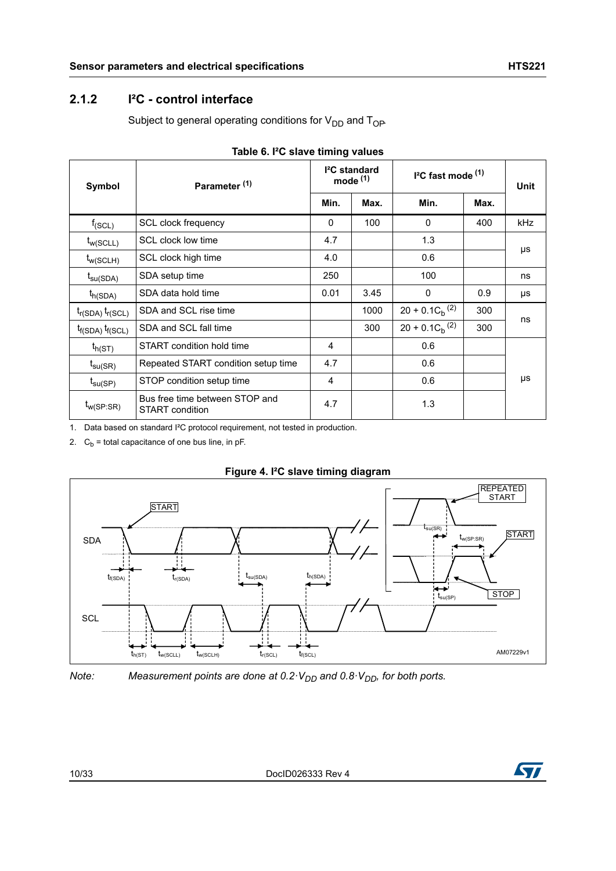### <span id="page-9-0"></span>**2.1.2 I²C - control interface**

Subject to general operating conditions for  $V_{DD}$  and  $T_{OP}$ .

<span id="page-9-1"></span>

| Symbol                  | Parameter <sup>(1)</sup>                          | <sup>2</sup> C standard<br>mode $(1)$ |      | $I2C$ fast mode $(1)$ | <b>Unit</b> |     |
|-------------------------|---------------------------------------------------|---------------------------------------|------|-----------------------|-------------|-----|
|                         |                                                   | Min.                                  | Max. | Min.                  | Max.        |     |
| $f_{(SCL)}$             | SCL clock frequency                               | $\Omega$                              | 100  | $\mathbf{0}$          | 400         | kHz |
| $t_{w(SCLL)}$           | SCL clock low time                                | 4.7                                   |      | 1.3                   |             |     |
| $t_{w(SCLH)}$           | SCL clock high time                               | 4.0                                   |      | 0.6                   |             | μs  |
| $t_{\text{su(SDA)}}$    | SDA setup time                                    | 250                                   |      | 100                   |             | ns  |
| $t_{h(SDA)}$            | SDA data hold time                                | 0.01                                  | 3.45 | $\mathbf{0}$          | 0.9         | μs  |
| $t_{r(SDA)} t_{r(SCL)}$ | SDA and SCL rise time                             |                                       | 1000 | $20 + 0.1 C_h^{(2)}$  | 300         | ns  |
| $t_{f(SDA)} t_{f(SCL)}$ | SDA and SCL fall time                             |                                       | 300  | $20 + 0.1 C_h^{(2)}$  | 300         |     |
| $t_{h(ST)}$             | START condition hold time                         | 4                                     |      | 0.6                   |             |     |
| $t_{\textsf{su(SR)}}$   | Repeated START condition setup time               | 4.7                                   |      | 0.6                   |             |     |
| $t_{\text{su(SP)}}$     | STOP condition setup time                         | 4                                     |      | 0.6                   |             | μs  |
| $t_{w(SP:SR)}$          | Bus free time between STOP and<br>START condition | 4.7                                   |      | 1.3                   |             |     |

|  |  |  |  |  | Table 6. I <sup>2</sup> C slave timing values |
|--|--|--|--|--|-----------------------------------------------|
|--|--|--|--|--|-----------------------------------------------|

1. Data based on standard I²C protocol requirement, not tested in production.

2.  $C_b$  = total capacitance of one bus line, in pF.



#### **Figure 4. I²C slave timing diagram**

*Note:* Measurement points are done at  $0.2 \cdot V_{DD}$  and  $0.8 \cdot V_{DD}$ , for both ports.

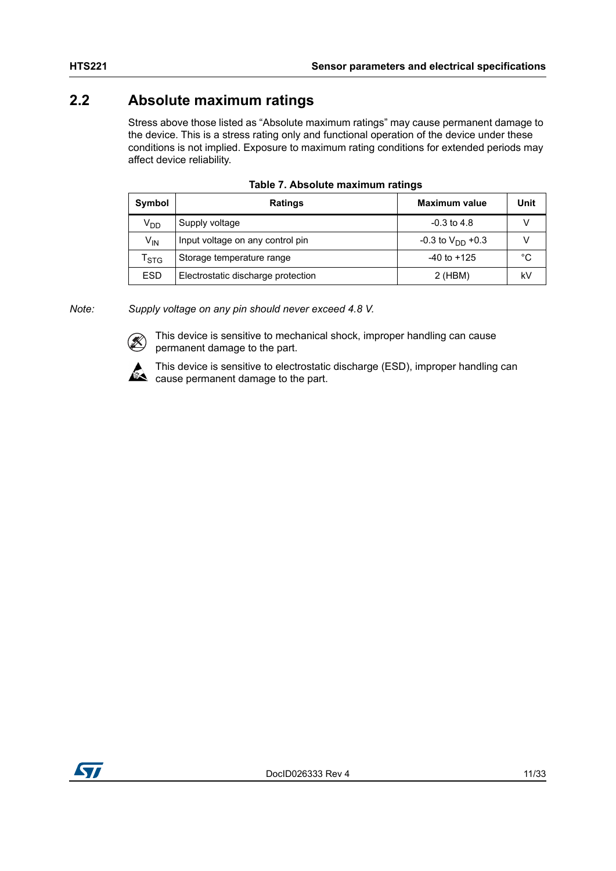### <span id="page-10-0"></span>**2.2 Absolute maximum ratings**

Stress above those listed as "Absolute maximum ratings" may cause permanent damage to the device. This is a stress rating only and functional operation of the device under these conditions is not implied. Exposure to maximum rating conditions for extended periods may affect device reliability.

<span id="page-10-1"></span>

| Symbol                      | <b>Ratings</b>                     | <b>Maximum value</b>             | Unit |
|-----------------------------|------------------------------------|----------------------------------|------|
| V <sub>DD</sub>             | Supply voltage                     | $-0.3$ to 4.8                    |      |
| $V_{IN}$                    | Input voltage on any control pin   | $-0.3$ to V <sub>DD</sub> $+0.3$ |      |
| $\mathsf{r}_{\texttt{STG}}$ | Storage temperature range          | $-40$ to $+125$                  | °C   |
| <b>ESD</b>                  | Electrostatic discharge protection | 2 (HBM)                          | k٧   |

| Table 7. Absolute maximum ratings |  |  |
|-----------------------------------|--|--|
|-----------------------------------|--|--|

*Note: Supply voltage on any pin should never exceed 4.8 V.*



This device is sensitive to mechanical shock, improper handling can cause permanent damage to the part.



This device is sensitive to electrostatic discharge (ESD), improper handling can  $\mathbb{R}$  cause permanent damage to the part.

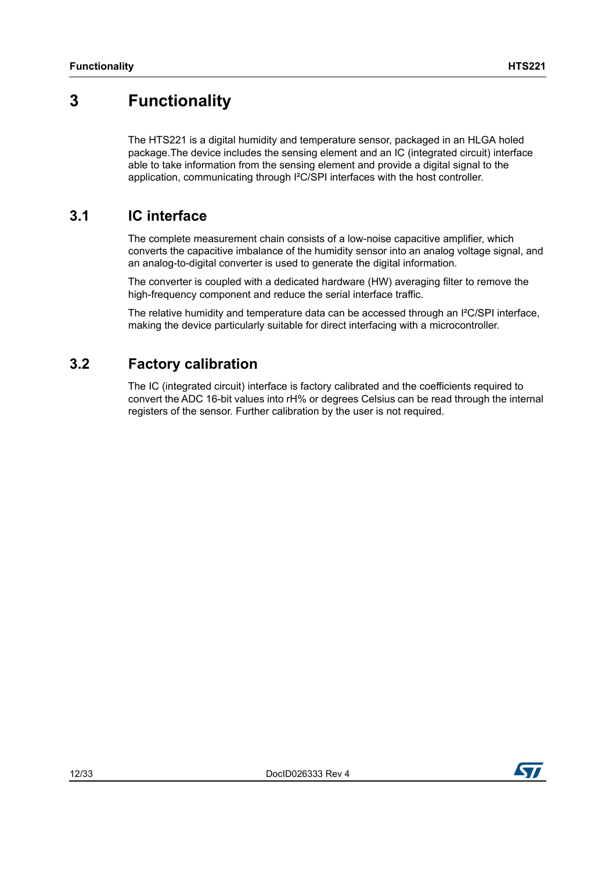## <span id="page-11-0"></span>**3 Functionality**

The HTS221 is a digital humidity and temperature sensor, packaged in an HLGA holed package.The device includes the sensing element and an IC (integrated circuit) interface able to take information from the sensing element and provide a digital signal to the application, communicating through I<sup>2</sup>C/SPI interfaces with the host controller.

### <span id="page-11-1"></span>**3.1 IC interface**

The complete measurement chain consists of a low-noise capacitive amplifier, which converts the capacitive imbalance of the humidity sensor into an analog voltage signal, and an analog-to-digital converter is used to generate the digital information.

The converter is coupled with a dedicated hardware (HW) averaging filter to remove the high-frequency component and reduce the serial interface traffic.

The relative humidity and temperature data can be accessed through an I<sup>2</sup>C/SPI interface, making the device particularly suitable for direct interfacing with a microcontroller.

### <span id="page-11-2"></span>**3.2 Factory calibration**

The IC (integrated circuit) interface is factory calibrated and the coefficients required to convert the ADC 16-bit values into rH% or degrees Celsius can be read through the internal registers of the sensor. Further calibration by the user is not required.

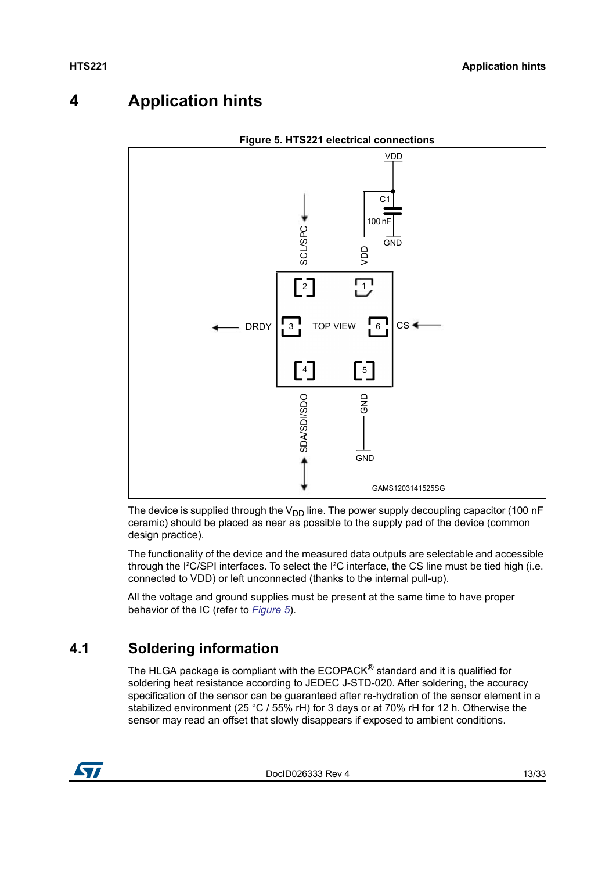# <span id="page-12-0"></span>**4 Application hints**

<span id="page-12-2"></span>

**Figure 5. HTS221 electrical connections**

The device is supplied through the  $V_{DD}$  line. The power supply decoupling capacitor (100 nF ceramic) should be placed as near as possible to the supply pad of the device (common design practice).

The functionality of the device and the measured data outputs are selectable and accessible through the I²C/SPI interfaces. To select the I²C interface, the CS line must be tied high (i.e. connected to VDD) or left unconnected (thanks to the internal pull-up).

All the voltage and ground supplies must be present at the same time to have proper behavior of the IC (refer to *[Figure 5](#page-12-2)*).

### <span id="page-12-1"></span>**4.1 Soldering information**

The HLGA package is compliant with the ECOPACK® standard and it is qualified for soldering heat resistance according to JEDEC J-STD-020. After soldering, the accuracy specification of the sensor can be guaranteed after re-hydration of the sensor element in a stabilized environment (25 °C / 55% rH) for 3 days or at 70% rH for 12 h. Otherwise the sensor may read an offset that slowly disappears if exposed to ambient conditions.



DocID026333 Rev 4 13/33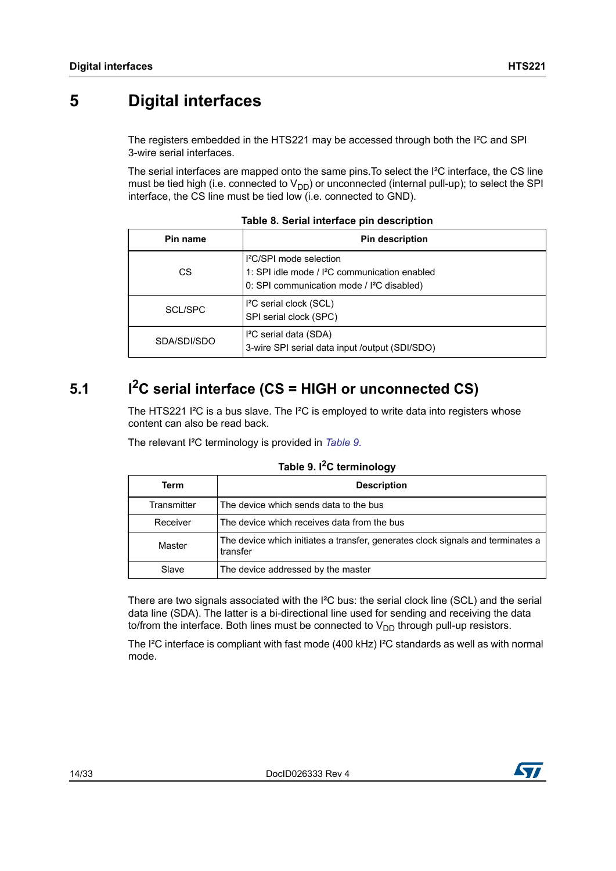# <span id="page-13-0"></span>**5 Digital interfaces**

The registers embedded in the HTS221 may be accessed through both the I²C and SPI 3-wire serial interfaces.

The serial interfaces are mapped onto the same pins.To select the I²C interface, the CS line must be tied high (i.e. connected to  $V_{DD}$ ) or unconnected (internal pull-up); to select the SPI interface, the CS line must be tied low (i.e. connected to GND).

<span id="page-13-2"></span>

| Pin name    | <b>Pin description</b>                                                                                                                                   |
|-------------|----------------------------------------------------------------------------------------------------------------------------------------------------------|
| СS          | <sup>2</sup> C/SPI mode selection<br>1: SPI idle mode / I <sup>2</sup> C communication enabled<br>0: SPI communication mode / I <sup>2</sup> C disabled) |
| SCL/SPC     | I <sup>2</sup> C serial clock (SCL)<br>SPI serial clock (SPC)                                                                                            |
| SDA/SDI/SDO | I <sup>2</sup> C serial data (SDA)<br>3-wire SPI serial data input /output (SDI/SDO)                                                                     |

**Table 8. Serial interface pin description**

# <span id="page-13-1"></span>5.1 **I<sup>2</sup>C serial interface (CS = HIGH or unconnected CS)**

The HTS221  $l^2C$  is a bus slave. The  $l^2C$  is employed to write data into registers whose content can also be read back.

The relevant I²C terminology is provided in *[Table 9.](#page-13-3)*

#### **Table 9. I2C terminology**

<span id="page-13-3"></span>

| Term        | <b>Description</b>                                                                          |
|-------------|---------------------------------------------------------------------------------------------|
| Transmitter | The device which sends data to the bus                                                      |
| Receiver    | The device which receives data from the bus                                                 |
| Master      | The device which initiates a transfer, generates clock signals and terminates a<br>transfer |
| Slave       | The device addressed by the master                                                          |

There are two signals associated with the I<sup>2</sup>C bus: the serial clock line (SCL) and the serial data line (SDA). The latter is a bi-directional line used for sending and receiving the data to/from the interface. Both lines must be connected to  $V_{DD}$  through pull-up resistors.

The I²C interface is compliant with fast mode (400 kHz) I²C standards as well as with normal mode.

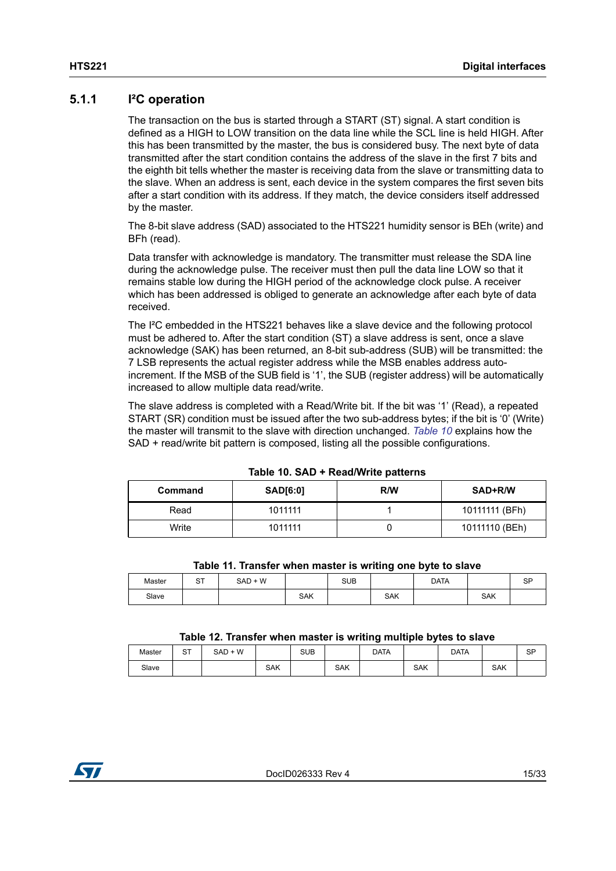### <span id="page-14-0"></span>**5.1.1 I²C operation**

The transaction on the bus is started through a START (ST) signal. A start condition is defined as a HIGH to LOW transition on the data line while the SCL line is held HIGH. After this has been transmitted by the master, the bus is considered busy. The next byte of data transmitted after the start condition contains the address of the slave in the first 7 bits and the eighth bit tells whether the master is receiving data from the slave or transmitting data to the slave. When an address is sent, each device in the system compares the first seven bits after a start condition with its address. If they match, the device considers itself addressed by the master.

The 8-bit slave address (SAD) associated to the HTS221 humidity sensor is BEh (write) and BFh (read).

Data transfer with acknowledge is mandatory. The transmitter must release the SDA line during the acknowledge pulse. The receiver must then pull the data line LOW so that it remains stable low during the HIGH period of the acknowledge clock pulse. A receiver which has been addressed is obliged to generate an acknowledge after each byte of data received.

The I²C embedded in the HTS221 behaves like a slave device and the following protocol must be adhered to. After the start condition (ST) a slave address is sent, once a slave acknowledge (SAK) has been returned, an 8-bit sub-address (SUB) will be transmitted: the 7 LSB represents the actual register address while the MSB enables address autoincrement. If the MSB of the SUB field is '1', the SUB (register address) will be automatically increased to allow multiple data read/write.

The slave address is completed with a Read/Write bit. If the bit was '1' (Read), a repeated START (SR) condition must be issued after the two sub-address bytes; if the bit is '0' (Write) the master will transmit to the slave with direction unchanged. *[Table 10](#page-14-1)* explains how the SAD + read/write bit pattern is composed, listing all the possible configurations.

<span id="page-14-1"></span>

| Command | SAD[6:0] | R/W | SAD+R/W        |
|---------|----------|-----|----------------|
| Read    | 1011111  |     | 10111111 (BFh) |
| Write   | 1011111  |     | 10111110 (BEh) |

**Table 10. SAD + Read/Write patterns**

|  | Table 11. Transfer when master is writing one byte to slave |  |  |  |  |
|--|-------------------------------------------------------------|--|--|--|--|
|  |                                                             |  |  |  |  |

<span id="page-14-2"></span>

| Master | ~-<br>ັ | $SAD + W$ |            | <b>SUB</b> |            | DATA |            | SP |  |  |
|--------|---------|-----------|------------|------------|------------|------|------------|----|--|--|
| Slave  |         |           | <b>SAK</b> |            | <b>SAK</b> |      | <b>SAK</b> |    |  |  |

#### **Table 12. Transfer when master is writing multiple bytes to slave**

<span id="page-14-3"></span>

|        | ____            | ____<br>____ | __         | -----      | _______    | . .<br>__   | ____<br>____ | .           |            |           |
|--------|-----------------|--------------|------------|------------|------------|-------------|--------------|-------------|------------|-----------|
| Master | $\sim$ T<br>، ت | $SAD + W$    |            | <b>SUB</b> |            | <b>DATA</b> |              | <b>DATA</b> |            | <b>SP</b> |
| Slave  |                 |              | <b>SAK</b> |            | <b>SAK</b> |             | <b>SAK</b>   |             | <b>SAK</b> |           |

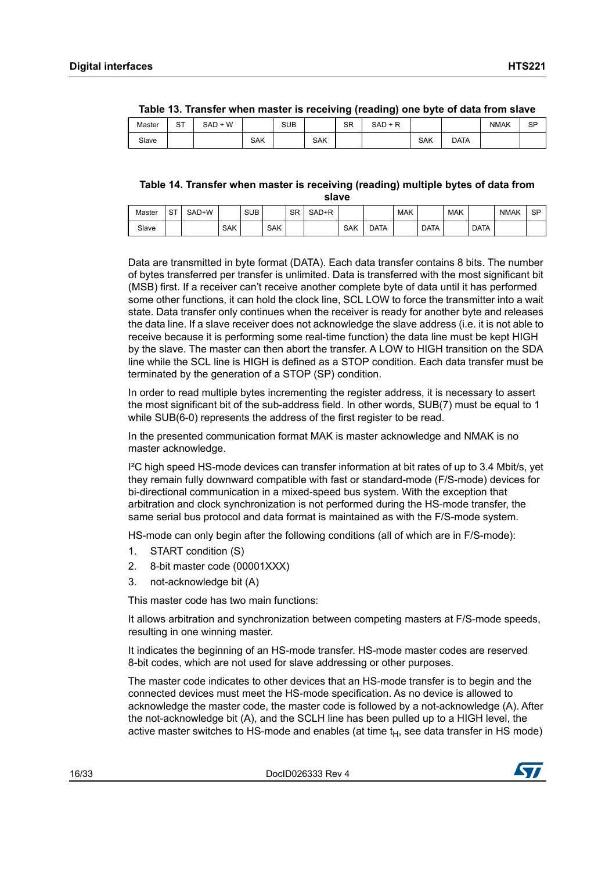<span id="page-15-0"></span>

|        | $1000$ TV. Hundrey model music to receiving (requiring) one syte of data from older |         |     |     |     |           |         |     |             |      |           |  |
|--------|-------------------------------------------------------------------------------------|---------|-----|-----|-----|-----------|---------|-----|-------------|------|-----------|--|
| Master | ⌒⊤<br>১।                                                                            | SAD + W |     | SUB |     | <b>SR</b> | SAD + R |     |             | NMAK | <b>SP</b> |  |
| Slave  |                                                                                     |         | SAK |     | SAK |           |         | SAK | <b>DATA</b> |      |           |  |

| Table 13. Transfer when master is receiving (reading) one byte of data from slave |  |  |
|-----------------------------------------------------------------------------------|--|--|
|                                                                                   |  |  |

<span id="page-15-1"></span>**Table 14. Transfer when master is receiving (reading) multiple bytes of data from slave**

| Master | $\sim$ $\tau$<br>ا ت | SAD+W |            | <b>SUB</b> |            | <b>SR</b> | SAD+R |            |             | <b>MAK</b> |             | <b>MAK</b> |             | <b>NMAK</b> | <b>SP</b> |
|--------|----------------------|-------|------------|------------|------------|-----------|-------|------------|-------------|------------|-------------|------------|-------------|-------------|-----------|
| Slave  |                      |       | <b>SAK</b> |            | <b>SAK</b> |           |       | <b>SAK</b> | <b>DATA</b> |            | <b>DATA</b> |            | <b>DATA</b> |             |           |

Data are transmitted in byte format (DATA). Each data transfer contains 8 bits. The number of bytes transferred per transfer is unlimited. Data is transferred with the most significant bit (MSB) first. If a receiver can't receive another complete byte of data until it has performed some other functions, it can hold the clock line, SCL LOW to force the transmitter into a wait state. Data transfer only continues when the receiver is ready for another byte and releases the data line. If a slave receiver does not acknowledge the slave address (i.e. it is not able to receive because it is performing some real-time function) the data line must be kept HIGH by the slave. The master can then abort the transfer. A LOW to HIGH transition on the SDA line while the SCL line is HIGH is defined as a STOP condition. Each data transfer must be terminated by the generation of a STOP (SP) condition.

In order to read multiple bytes incrementing the register address, it is necessary to assert the most significant bit of the sub-address field. In other words, SUB(7) must be equal to 1 while SUB(6-0) represents the address of the first register to be read.

In the presented communication format MAK is master acknowledge and NMAK is no master acknowledge.

I²C high speed HS-mode devices can transfer information at bit rates of up to 3.4 Mbit/s, yet they remain fully downward compatible with fast or standard-mode (F/S-mode) devices for bi-directional communication in a mixed-speed bus system. With the exception that arbitration and clock synchronization is not performed during the HS-mode transfer, the same serial bus protocol and data format is maintained as with the F/S-mode system.

HS-mode can only begin after the following conditions (all of which are in F/S-mode):

- 1. START condition (S)
- 2. 8-bit master code (00001XXX)
- 3. not-acknowledge bit (A)

This master code has two main functions:

It allows arbitration and synchronization between competing masters at F/S-mode speeds, resulting in one winning master.

It indicates the beginning of an HS-mode transfer. HS-mode master codes are reserved 8-bit codes, which are not used for slave addressing or other purposes.

The master code indicates to other devices that an HS-mode transfer is to begin and the connected devices must meet the HS-mode specification. As no device is allowed to acknowledge the master code, the master code is followed by a not-acknowledge (A). After the not-acknowledge bit (A), and the SCLH line has been pulled up to a HIGH level, the active master switches to HS-mode and enables (at time  $t_H$ , see data transfer in HS mode)

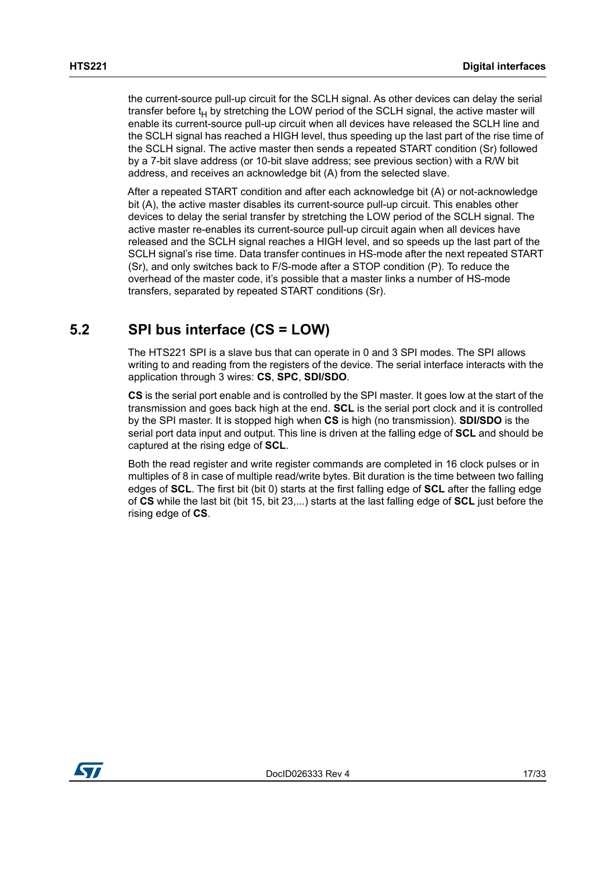the current-source pull-up circuit for the SCLH signal. As other devices can delay the serial transfer before  $t_H$  by stretching the LOW period of the SCLH signal, the active master will enable its current-source pull-up circuit when all devices have released the SCLH line and the SCLH signal has reached a HIGH level, thus speeding up the last part of the rise time of the SCLH signal. The active master then sends a repeated START condition (Sr) followed by a 7-bit slave address (or 10-bit slave address; see previous section) with a R/W bit address, and receives an acknowledge bit (A) from the selected slave.

After a repeated START condition and after each acknowledge bit (A) or not-acknowledge bit (A), the active master disables its current-source pull-up circuit. This enables other devices to delay the serial transfer by stretching the LOW period of the SCLH signal. The active master re-enables its current-source pull-up circuit again when all devices have released and the SCLH signal reaches a HIGH level, and so speeds up the last part of the SCLH signal's rise time. Data transfer continues in HS-mode after the next repeated START (Sr), and only switches back to F/S-mode after a STOP condition (P). To reduce the overhead of the master code, it's possible that a master links a number of HS-mode transfers, separated by repeated START conditions (Sr).

### <span id="page-16-0"></span>**5.2 SPI bus interface (CS = LOW)**

The HTS221 SPI is a slave bus that can operate in 0 and 3 SPI modes. The SPI allows writing to and reading from the registers of the device. The serial interface interacts with the application through 3 wires: **CS**, **SPC**, **SDI/SDO**.

**CS** is the serial port enable and is controlled by the SPI master. It goes low at the start of the transmission and goes back high at the end. **SCL** is the serial port clock and it is controlled by the SPI master. It is stopped high when **CS** is high (no transmission). **SDI/SDO** is the serial port data input and output. This line is driven at the falling edge of **SCL** and should be captured at the rising edge of **SCL**.

Both the read register and write register commands are completed in 16 clock pulses or in multiples of 8 in case of multiple read/write bytes. Bit duration is the time between two falling edges of **SCL**. The first bit (bit 0) starts at the first falling edge of **SCL** after the falling edge of **CS** while the last bit (bit 15, bit 23,...) starts at the last falling edge of **SCL** just before the rising edge of **CS**.

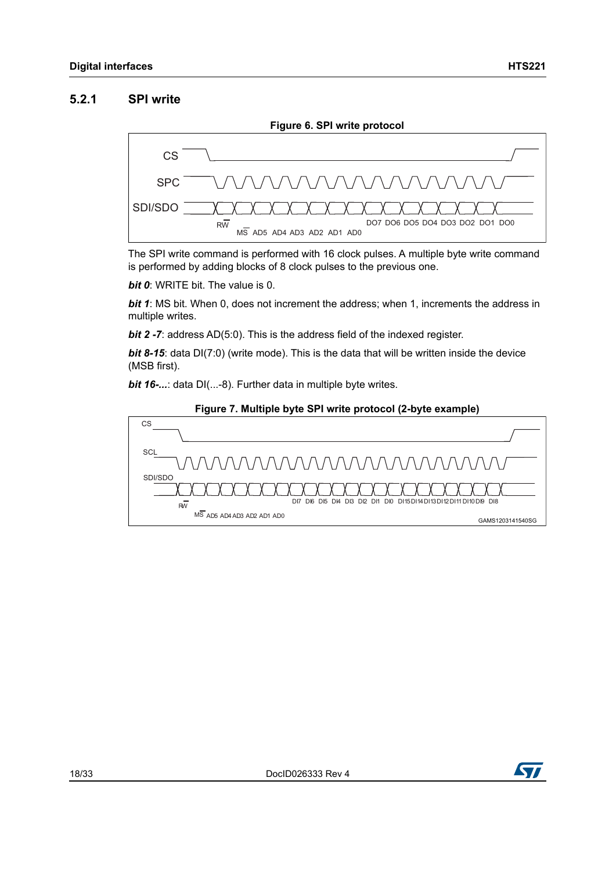#### <span id="page-17-0"></span>**5.2.1 SPI write**

<span id="page-17-1"></span>

The SPI write command is performed with 16 clock pulses. A multiple byte write command is performed by adding blocks of 8 clock pulses to the previous one.

*bit 0*: WRITE bit. The value is 0.

*bit 1*: MS bit. When 0, does not increment the address; when 1, increments the address in multiple writes.

*bit 2 -7:* address AD(5:0). This is the address field of the indexed register.

**bit 8-15**: data DI(7:0) (write mode). This is the data that will be written inside the device (MSB first).

*bit 16-...*: data DI(...-8). Further data in multiple byte writes.

<span id="page-17-2"></span>

#### **Figure 7. Multiple byte SPI write protocol (2-byte example)**

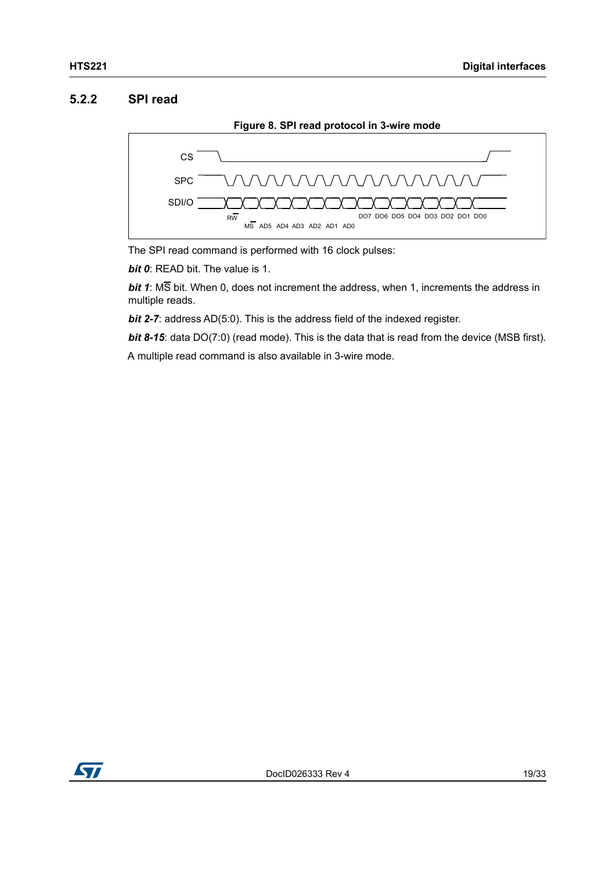#### <span id="page-18-0"></span>**5.2.2 SPI read**

<span id="page-18-1"></span>

The SPI read command is performed with 16 clock pulses:

*bit 0*: READ bit. The value is 1.

*bit 1*: MS bit. When 0, does not increment the address, when 1, increments the address in multiple reads.

*bit 2-7*: address AD(5:0). This is the address field of the indexed register.

**bit 8-15**: data DO(7:0) (read mode). This is the data that is read from the device (MSB first).

A multiple read command is also available in 3-wire mode.

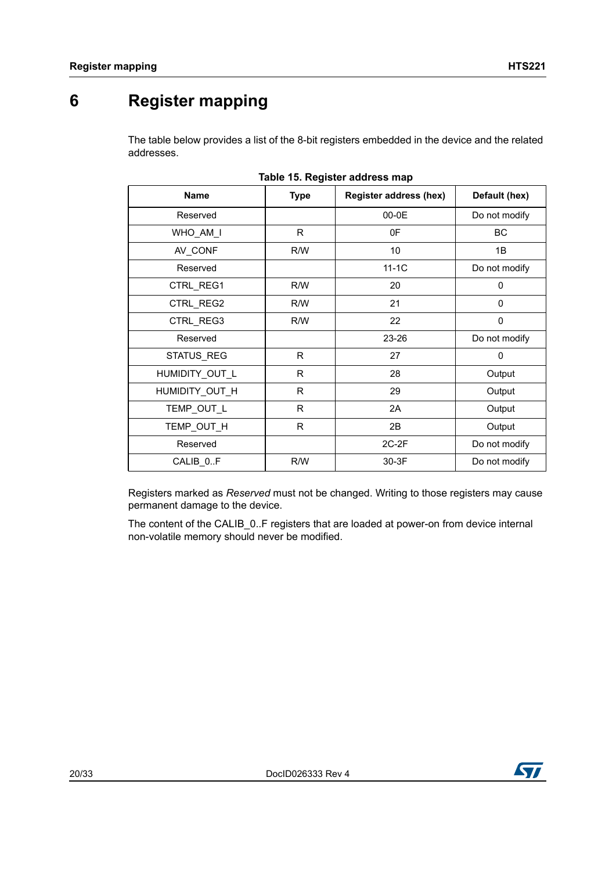# <span id="page-19-0"></span>**6 Register mapping**

The table below provides a list of the 8-bit registers embedded in the device and the related addresses.

<span id="page-19-1"></span>

| Table 15. Register address filap |             |                               |               |  |  |  |  |  |  |  |
|----------------------------------|-------------|-------------------------------|---------------|--|--|--|--|--|--|--|
| Name                             | <b>Type</b> | <b>Register address (hex)</b> | Default (hex) |  |  |  |  |  |  |  |
| Reserved                         |             | 00-0E                         | Do not modify |  |  |  |  |  |  |  |
| WHO_AM_I                         | R.          | 0F                            | <b>BC</b>     |  |  |  |  |  |  |  |
| AV_CONF                          | R/W         | 10                            | 1B            |  |  |  |  |  |  |  |
| Reserved                         |             | $11-1C$                       | Do not modify |  |  |  |  |  |  |  |
| CTRL_REG1                        | R/W         | 20                            | 0             |  |  |  |  |  |  |  |
| CTRL_REG2                        | R/W         | 21                            | 0             |  |  |  |  |  |  |  |
| CTRL_REG3                        | R/W         | 22                            | $\mathbf 0$   |  |  |  |  |  |  |  |
| Reserved                         |             | 23-26                         | Do not modify |  |  |  |  |  |  |  |
| STATUS_REG                       | R.          | 27                            | 0             |  |  |  |  |  |  |  |
| HUMIDITY_OUT_L                   | R.          | 28                            | Output        |  |  |  |  |  |  |  |
| HUMIDITY_OUT_H                   | R           | 29                            | Output        |  |  |  |  |  |  |  |
| TEMP_OUT_L                       | R           | 2A                            | Output        |  |  |  |  |  |  |  |
| TEMP OUT H                       | R           | 2B                            | Output        |  |  |  |  |  |  |  |
| Reserved                         |             | $2C-2F$                       | Do not modify |  |  |  |  |  |  |  |
| CALIB_0.F                        | R/W         | 30-3F                         | Do not modify |  |  |  |  |  |  |  |

Registers marked as *Reserved* must not be changed. Writing to those registers may cause permanent damage to the device.

The content of the CALIB\_0..F registers that are loaded at power-on from device internal non-volatile memory should never be modified.

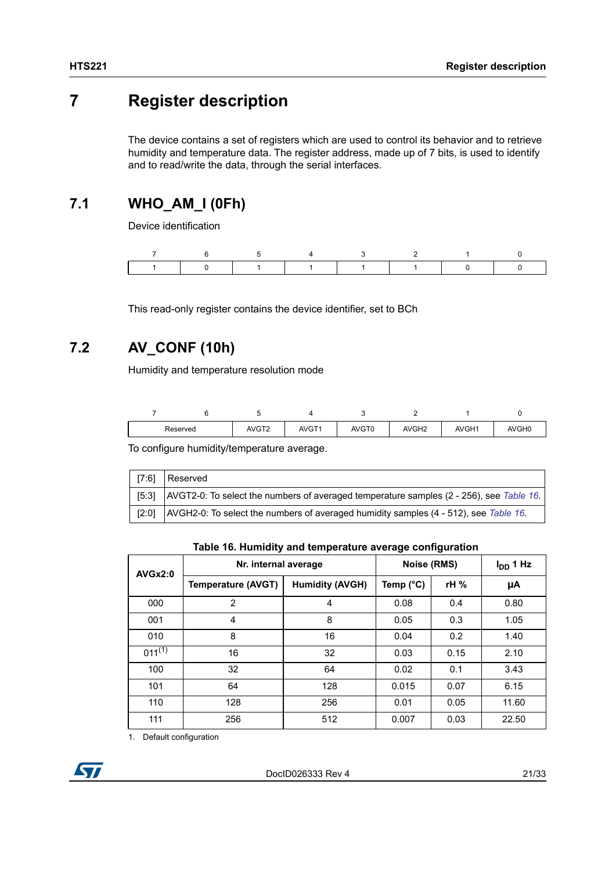## <span id="page-20-0"></span>**7 Register description**

The device contains a set of registers which are used to control its behavior and to retrieve humidity and temperature data. The register address, made up of 7 bits, is used to identify and to read/write the data, through the serial interfaces.

### <span id="page-20-1"></span>**7.1 WHO\_AM\_I (0Fh)**

Device identification

This read-only register contains the device identifier, set to BCh

### <span id="page-20-2"></span>**7.2 AV\_CONF (10h)**

Humidity and temperature resolution mode

| Reserved | AVGT <sub>2</sub> | AVGT <sup>*</sup> | AVGT0 | AVGH <sub>2</sub> | AVGH1 | AVGH0 |
|----------|-------------------|-------------------|-------|-------------------|-------|-------|

To configure humidity/temperature average.

| [7:6] | Reserved                                                                                |
|-------|-----------------------------------------------------------------------------------------|
| [5:3] | AVGT2-0: To select the numbers of averaged temperature samples (2 - 256), see Table 16. |
| [2:0] | AVGH2-0: To select the numbers of averaged humidity samples (4 - 512), see Table 16.    |

#### **Table 16. Humidity and temperature average configuration**

<span id="page-20-3"></span>

| <b>AVGx2:0</b> | Nr. internal average      | Noise (RMS)            |                    | $I_{DD}$ 1 Hz |       |
|----------------|---------------------------|------------------------|--------------------|---------------|-------|
|                | <b>Temperature (AVGT)</b> | <b>Humidity (AVGH)</b> | Temp $(^{\circ}C)$ | rH%           | μA    |
| 000            | $\overline{2}$            | 4                      | 0.08               | 0.4           | 0.80  |
| 001            | $\overline{4}$            | 8                      | 0.05               | 0.3           | 1.05  |
| 010            | 8                         | 16                     | 0.04               | 0.2           | 1.40  |
| $011^{(1)}$    | 16                        | 32                     | 0.03               | 0.15          | 2.10  |
| 100            | 32                        | 64                     | 0.02               | 0.1           | 3.43  |
| 101            | 64                        | 128                    | 0.015              | 0.07          | 6.15  |
| 110            | 128                       | 256                    | 0.01               | 0.05          | 11.60 |
| 111            | 256                       | 512                    | 0.007              | 0.03          | 22.50 |

1. Default configuration

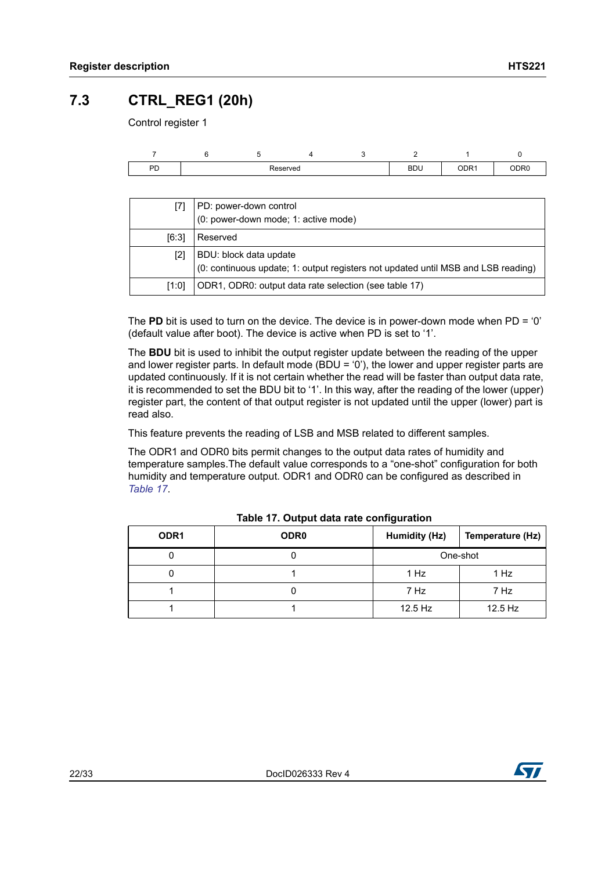### <span id="page-21-0"></span>**7.3 CTRL\_REG1 (20h)**

Control register 1

| DD<br>гυ | Reserved |  |  |  | <b>BDU</b><br>$ -$ | ODR <sub>1</sub> | ODR <sub>0</sub> |
|----------|----------|--|--|--|--------------------|------------------|------------------|

|       | PD: power-down control<br>(0: power-down mode; 1: active mode)                                              |
|-------|-------------------------------------------------------------------------------------------------------------|
| [6:3] | Reserved                                                                                                    |
| [2]   | BDU: block data update<br>(0: continuous update; 1: output registers not updated until MSB and LSB reading) |
| [1:0] | ODR1, ODR0: output data rate selection (see table 17)                                                       |

The **PD** bit is used to turn on the device. The device is in power-down mode when PD = '0' (default value after boot). The device is active when PD is set to '1'.

The **BDU** bit is used to inhibit the output register update between the reading of the upper and lower register parts. In default mode (BDU =  $0'$ ), the lower and upper register parts are updated continuously. If it is not certain whether the read will be faster than output data rate, it is recommended to set the BDU bit to '1'. In this way, after the reading of the lower (upper) register part, the content of that output register is not updated until the upper (lower) part is read also.

This feature prevents the reading of LSB and MSB related to different samples.

The ODR1 and ODR0 bits permit changes to the output data rates of humidity and temperature samples.The default value corresponds to a "one-shot" configuration for both humidity and temperature output. ODR1 and ODR0 can be configured as described in *[Table 17](#page-21-1)*.

<span id="page-21-1"></span>

| ODR <sub>1</sub> | ODR <sub>0</sub> | Humidity (Hz)<br>Temperature (Hz) |          |
|------------------|------------------|-----------------------------------|----------|
|                  |                  |                                   | One-shot |
|                  |                  | 1 Hz                              | 1 Hz     |
|                  |                  | 7 Hz                              | 7 Hz     |
|                  |                  | $12.5$ Hz                         | 12.5 Hz  |

#### **Table 17. Output data rate configuration**

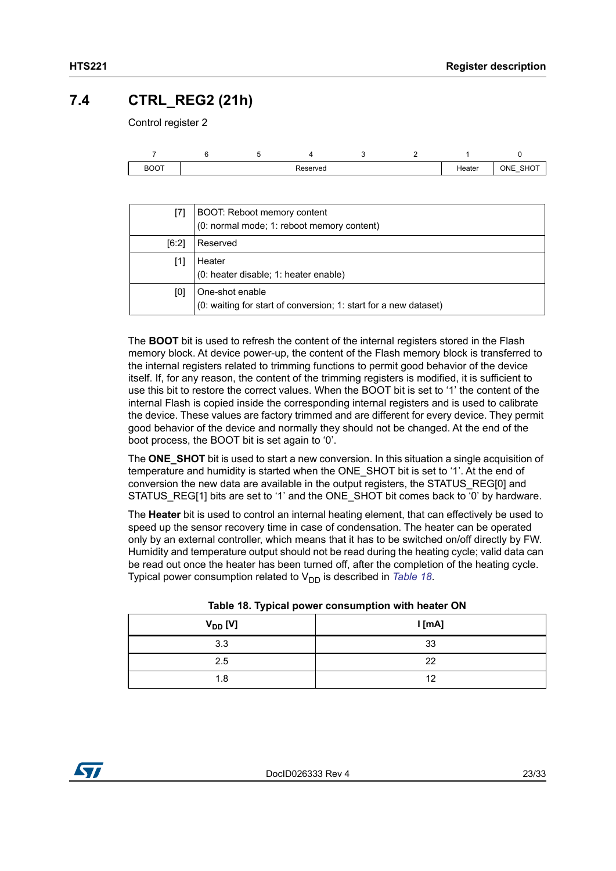### <span id="page-22-0"></span>**7.4 CTRL\_REG2 (21h)**

Control register 2

| BOOT |  | Reserved |  | Heater | ONE<br>SHC<br>$\overline{\phantom{a}}$ |
|------|--|----------|--|--------|----------------------------------------|

| [7]   | BOOT: Reboot memory content<br>(0: normal mode; 1: reboot memory content)           |
|-------|-------------------------------------------------------------------------------------|
| [6:2] | Reserved                                                                            |
| [1]   | Heater<br>(0: heater disable; 1: heater enable)                                     |
| [0]   | One-shot enable<br>(0: waiting for start of conversion; 1: start for a new dataset) |

The **BOOT** bit is used to refresh the content of the internal registers stored in the Flash memory block. At device power-up, the content of the Flash memory block is transferred to the internal registers related to trimming functions to permit good behavior of the device itself. If, for any reason, the content of the trimming registers is modified, it is sufficient to use this bit to restore the correct values. When the BOOT bit is set to '1' the content of the internal Flash is copied inside the corresponding internal registers and is used to calibrate the device. These values are factory trimmed and are different for every device. They permit good behavior of the device and normally they should not be changed. At the end of the boot process, the BOOT bit is set again to '0'.

The **ONE** SHOT bit is used to start a new conversion. In this situation a single acquisition of temperature and humidity is started when the ONE\_SHOT bit is set to '1'. At the end of conversion the new data are available in the output registers, the STATUS\_REG[0] and STATUS REG[1] bits are set to '1' and the ONE SHOT bit comes back to '0' by hardware.

The **Heater** bit is used to control an internal heating element, that can effectively be used to speed up the sensor recovery time in case of condensation. The heater can be operated only by an external controller, which means that it has to be switched on/off directly by FW. Humidity and temperature output should not be read during the heating cycle; valid data can be read out once the heater has been turned off, after the completion of the heating cycle. Typical power consumption related to V<sub>DD</sub> is described in *[Table 18](#page-22-1)*.

<span id="page-22-1"></span>

| . .          |        |
|--------------|--------|
| $V_{DD}$ [V] | I [mA] |
| 3.3          | 33     |
| 2.5          | 22     |
| 1.8          | 12     |

|  |  |  | Table 18. Typical power consumption with heater ON |
|--|--|--|----------------------------------------------------|
|--|--|--|----------------------------------------------------|

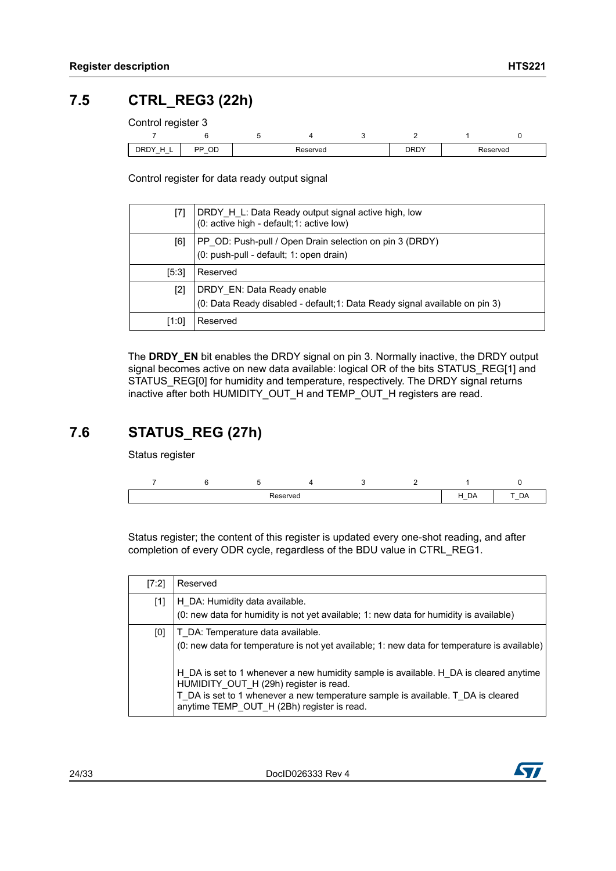### <span id="page-23-0"></span>**7.5 CTRL\_REG3 (22h)**

Control register 3

| _                    |                                      |          |  |  |             |          |
|----------------------|--------------------------------------|----------|--|--|-------------|----------|
| DRDY<br>$\sim$<br>-- | ОC<br>םם<br>$\overline{\phantom{a}}$ | Reserved |  |  | <b>DRDY</b> | Reserved |

Control register for data ready output signal

|       | DRDY H L: Data Ready output signal active high, low<br>(0: active high - default; 1: active low)         |
|-------|----------------------------------------------------------------------------------------------------------|
| [6]   | PP OD: Push-pull / Open Drain selection on pin 3 (DRDY)<br>(0: push-pull - default; 1: open drain)       |
| [5:3] | Reserved                                                                                                 |
| [2]   | DRDY EN: Data Ready enable<br>(0: Data Ready disabled - default;1: Data Ready signal available on pin 3) |
| [1:0] | Reserved                                                                                                 |

The DRDY EN bit enables the DRDY signal on pin 3. Normally inactive, the DRDY output signal becomes active on new data available: logical OR of the bits STATUS\_REG[1] and STATUS\_REG[0] for humidity and temperature, respectively. The DRDY signal returns inactive after both HUMIDITY\_OUT\_H and TEMP\_OUT\_H registers are read.

### <span id="page-23-1"></span>**7.6 STATUS\_REG (27h)**

Status register

| .<br>∣v∺ |  |  |  |  |  | ۵Α<br>$\overline{\phantom{a}}$ | -<br>יוט<br>$\overline{\phantom{a}}$ |
|----------|--|--|--|--|--|--------------------------------|--------------------------------------|

Status register; the content of this register is updated every one-shot reading, and after completion of every ODR cycle, regardless of the BDU value in CTRL\_REG1.

| [7:2] | Reserved                                                                                                                                                                                                                                                          |
|-------|-------------------------------------------------------------------------------------------------------------------------------------------------------------------------------------------------------------------------------------------------------------------|
| $[1]$ | H DA: Humidity data available.<br>(0: new data for humidity is not yet available; 1: new data for humidity is available)                                                                                                                                          |
| [0]   | T DA: Temperature data available.<br>(0: new data for temperature is not yet available; 1: new data for temperature is available)                                                                                                                                 |
|       | H DA is set to 1 whenever a new humidity sample is available. H DA is cleared anytime<br>HUMIDITY OUT H (29h) register is read.<br>T DA is set to 1 whenever a new temperature sample is available. T_DA is cleared<br>anytime TEMP OUT H (2Bh) register is read. |

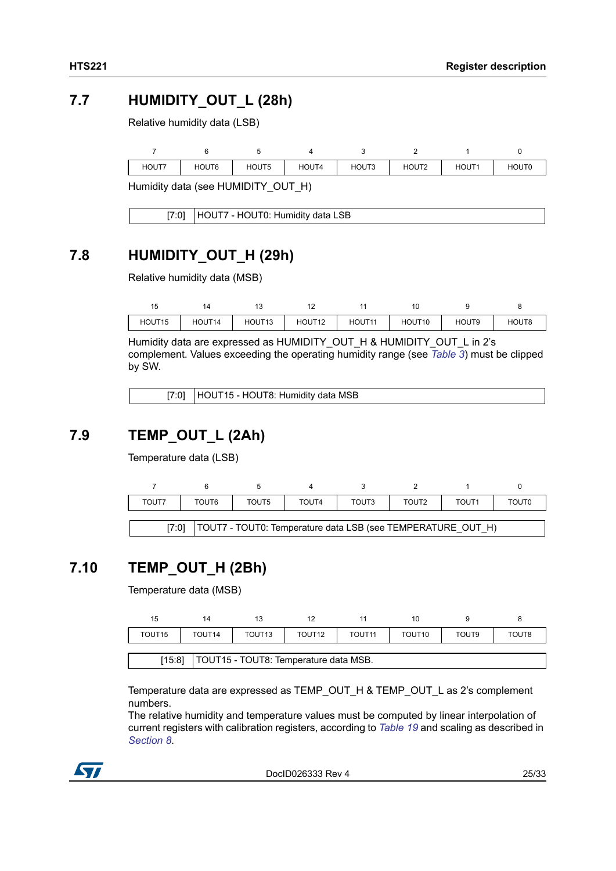### <span id="page-24-0"></span>**7.7 HUMIDITY\_OUT\_L (28h)**

Relative humidity data (LSB)

| HOUT7 | HOUT6 | HOUT5 | HOUT4 | HOUT3 | HOUT2 | HOUT <sup>4</sup> | <b>HOUT0</b> |
|-------|-------|-------|-------|-------|-------|-------------------|--------------|
|       |       |       |       |       |       |                   |              |

Humidity data (see HUMIDITY\_OUT\_H)

| [7:0]   HOUT7 - HOUT0: Humidity data LSB |
|------------------------------------------|

### <span id="page-24-1"></span>**7.8 HUMIDITY\_OUT\_H (29h)**

Relative humidity data (MSB)

|        | $\Delta$ |                    |                    |        | 10                 |       |       |
|--------|----------|--------------------|--------------------|--------|--------------------|-------|-------|
| HOUT15 | HOUT14   | HOUT <sub>13</sub> | HOUT <sub>12</sub> | HOUT11 | HOUT <sub>10</sub> | HOUT9 | HOUT8 |

Humidity data are expressed as HUMIDITY\_OUT\_H & HUMIDITY\_OUT\_L in 2's complement. Values exceeding the operating humidity range (see *[Table 3](#page-7-1)*) must be clipped by SW.

[7:0] HOUT15 - HOUT8: Humidity data MSB

### <span id="page-24-2"></span>**7.9 TEMP\_OUT\_L (2Ah)**

Temperature data (LSB)



### <span id="page-24-3"></span>**7.10 TEMP\_OUT\_H (2Bh)**

Temperature data (MSB)

| 15                 | 14                                                |                    | 12                 |                    | 10                 |                   |       |
|--------------------|---------------------------------------------------|--------------------|--------------------|--------------------|--------------------|-------------------|-------|
| TOUT <sub>15</sub> | TOUT <sub>14</sub>                                | TOUT <sub>13</sub> | TOUT <sub>12</sub> | TOUT <sub>11</sub> | TOUT <sub>10</sub> | TOUT <sub>9</sub> | TOUT8 |
|                    |                                                   |                    |                    |                    |                    |                   |       |
|                    | [15:8]<br>  TOUT15 - TOUT8: Temperature data MSB. |                    |                    |                    |                    |                   |       |

Temperature data are expressed as TEMP\_OUT\_H & TEMP\_OUT\_L as 2's complement numbers.

The relative humidity and temperature values must be computed by linear interpolation of current registers with calibration registers, according to *[Table 19](#page-25-1)* and scaling as described in *[Section 8](#page-25-0)*.



DocID026333 Rev 4 25/33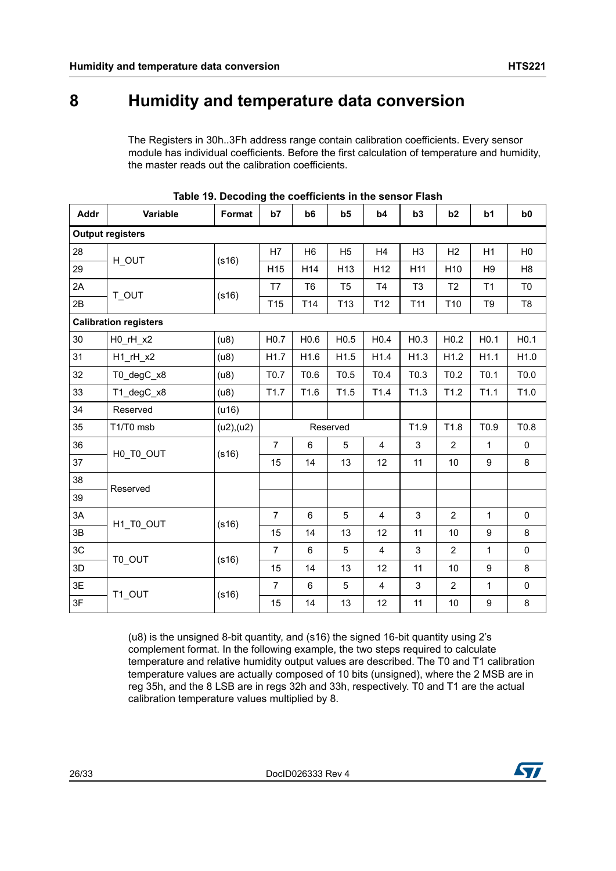### <span id="page-25-0"></span>**8 Humidity and temperature data conversion**

The Registers in 30h..3Fh address range contain calibration coefficients. Every sensor module has individual coefficients. Before the first calculation of temperature and humidity, the master reads out the calibration coefficients.

<span id="page-25-1"></span>

| Addr | Variable                           | Format    | b7               | b6              | b <sub>5</sub>  | b4               | b3               | b2               | b <sub>1</sub>   | b <sub>0</sub>   |
|------|------------------------------------|-----------|------------------|-----------------|-----------------|------------------|------------------|------------------|------------------|------------------|
|      | <b>Output registers</b>            |           |                  |                 |                 |                  |                  |                  |                  |                  |
| 28   | H OUT                              | (s16)     | H7               | H <sub>6</sub>  | H <sub>5</sub>  | H4               | H <sub>3</sub>   | H2               | H1               | H <sub>0</sub>   |
| 29   |                                    |           | H <sub>15</sub>  | H <sub>14</sub> | H <sub>13</sub> | H <sub>12</sub>  | H <sub>11</sub>  | H <sub>10</sub>  | H <sub>9</sub>   | H <sub>8</sub>   |
| 2A   | T_OUT                              | (s16)     | T7               | T <sub>6</sub>  | T <sub>5</sub>  | T <sub>4</sub>   | T <sub>3</sub>   | T <sub>2</sub>   | T1               | T <sub>0</sub>   |
| 2B   |                                    |           | T <sub>15</sub>  | T14             | T <sub>13</sub> | T <sub>12</sub>  | T <sub>11</sub>  | T <sub>10</sub>  | T9               | T8               |
|      | <b>Calibration registers</b>       |           |                  |                 |                 |                  |                  |                  |                  |                  |
| 30   | $H0$ <sub>_r</sub> H_x2            | (u8)      | H <sub>0.7</sub> | H0.6            | H0.5            | H <sub>0.4</sub> | H <sub>0.3</sub> | H <sub>0.2</sub> | H <sub>0.1</sub> | H <sub>0.1</sub> |
| 31   | $H1$ <sub>_r</sub> $H_$ <i>x</i> 2 | (u8)      | H1.7             | H1.6            | H1.5            | H1.4             | H1.3             | H1.2             | H1.1             | H1.0             |
| 32   | T0_degC_x8                         | (u8)      | T0.7             | T0.6            | T0.5            | T0.4             | T0.3             | T0.2             | T <sub>0.1</sub> | T0.0             |
| 33   | T1_degC_x8                         | (u8)      | T1.7             | T1.6            | T1.5            | T1.4             | T1.3             | T1.2             | T1.1             | T1.0             |
| 34   | Reserved                           | (416)     |                  |                 |                 |                  |                  |                  |                  |                  |
| 35   | T1/T0 msb                          | (u2),(u2) |                  |                 | Reserved        |                  | T1.9             | T1.8             | T0.9             | T0.8             |
| 36   | H0_T0_OUT                          | (s16)     | $\overline{7}$   | 6               | 5               | $\overline{4}$   | 3                | $\overline{2}$   | $\mathbf{1}$     | $\pmb{0}$        |
| 37   |                                    |           | 15               | 14              | 13              | 12               | 11               | 10               | $\boldsymbol{9}$ | 8                |
| 38   | Reserved                           |           |                  |                 |                 |                  |                  |                  |                  |                  |
| 39   |                                    |           |                  |                 |                 |                  |                  |                  |                  |                  |
| 3A   | H1_T0_OUT                          | (s16)     | $\overline{7}$   | 6               | 5               | $\overline{4}$   | 3                | 2                | $\mathbf{1}$     | $\mathbf 0$      |
| 3B   |                                    |           | 15               | 14              | 13              | 12               | 11               | 10               | 9                | 8                |
| 3C   | T0_OUT                             | (s16)     | $\overline{7}$   | 6               | 5               | $\overline{4}$   | 3                | $\overline{2}$   | $\mathbf{1}$     | $\mathbf 0$      |
| 3D   |                                    |           | 15               | 14              | 13              | 12               | 11               | 10               | 9                | 8                |
| 3E   | T1_OUT                             | (s16)     | $\overline{7}$   | 6               | 5               | $\overline{4}$   | 3                | $\overline{2}$   | $\mathbf{1}$     | $\pmb{0}$        |
| 3F   |                                    |           | 15               | 14              | 13              | 12               | 11               | 10               | $\boldsymbol{9}$ | 8                |

(u8) is the unsigned 8-bit quantity, and (s16) the signed 16-bit quantity using 2's complement format. In the following example, the two steps required to calculate temperature and relative humidity output values are described. The T0 and T1 calibration temperature values are actually composed of 10 bits (unsigned), where the 2 MSB are in reg 35h, and the 8 LSB are in regs 32h and 33h, respectively. T0 and T1 are the actual calibration temperature values multiplied by 8.

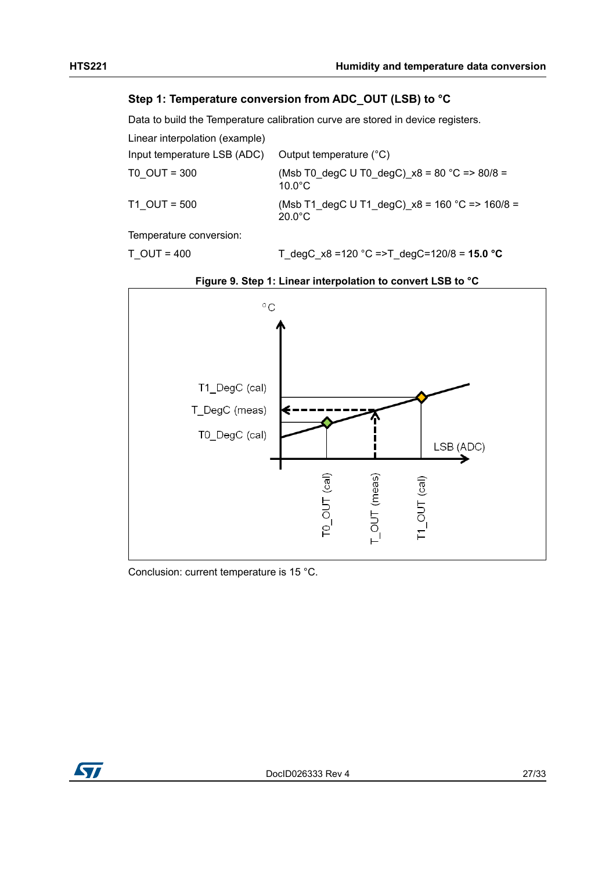#### **Step 1: Temperature conversion from ADC\_OUT (LSB) to °C**

Data to build the Temperature calibration curve are stored in device registers.

| Linear interpolation (example) |                                                                      |
|--------------------------------|----------------------------------------------------------------------|
| Input temperature LSB (ADC)    | Output temperature (°C)                                              |
| T0 OUT = 300                   | (Msb T0 degC U T0 degC) $x8 = 80$ °C = > 80/8 =<br>$10.0^{\circ}$ C  |
| T1 OUT = 500                   | (Msb T1 degC U T1 degC) $x8 = 160$ °C => 160/8 =<br>$20.0^{\circ}$ C |
| $\tau$                         |                                                                      |

Temperature conversion:

T\_OUT = 400 T\_degC\_x8 =120 °C =>T\_degC=120/8 = **15.0 °C**

<span id="page-26-0"></span>



Conclusion: current temperature is 15 °C.

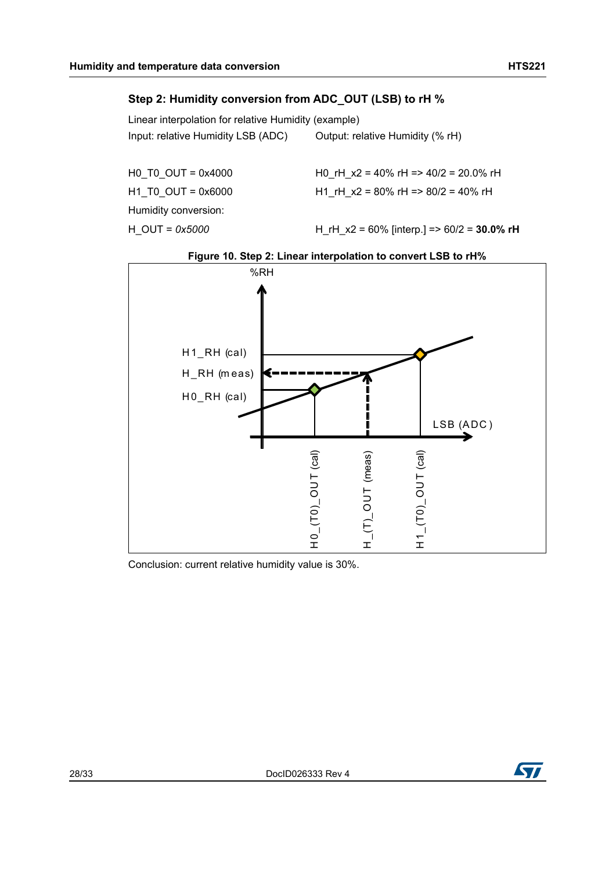#### **Step 2: Humidity conversion from ADC\_OUT (LSB) to rH %**

Linear interpolation for relative Humidity (example) Input: relative Humidity LSB (ADC) Output: relative Humidity (% rH)

Humidity conversion: H\_OUT = *0x5000* H\_rH\_x2 = 60% [interp.] => 60/2 = **30.0% rH**

H0\_T0\_OUT = 0x4000 H0\_rH\_x2 = 40% rH => 40/2 = 20.0% rH H1 T0 OUT = 0x6000 H1 rH x2 = 80% rH => 80/2 = 40% rH

<span id="page-27-0"></span>

**Figure 10. Step 2: Linear interpolation to convert LSB to rH%**

Conclusion: current relative humidity value is 30%.

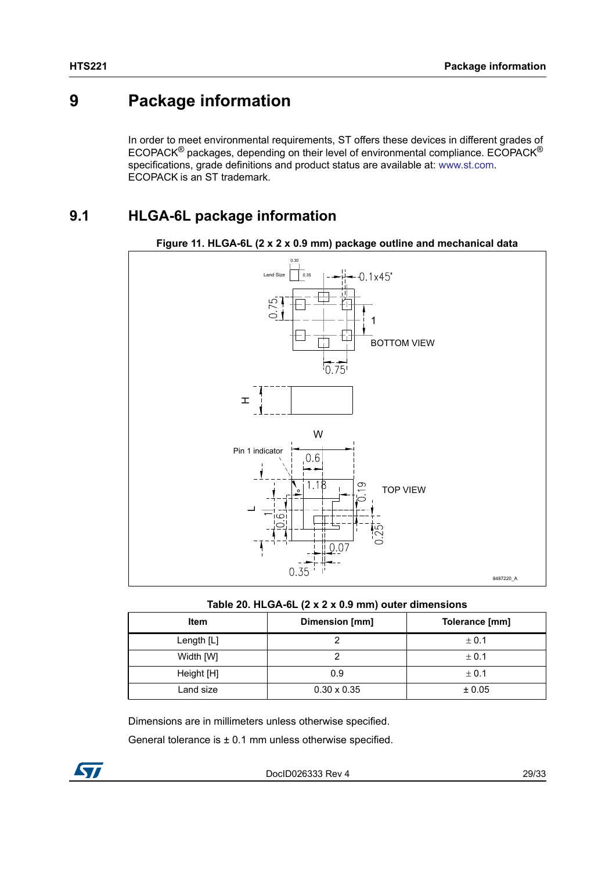### <span id="page-28-0"></span>**9 Package information**

In order to meet environmental requirements, ST offers these devices in different grades of ECOPACK® packages, depending on their level of environmental compliance. ECOPACK® specifications, grade definitions and product status are available at: www.st.com. ECOPACK is an ST trademark.

### <span id="page-28-1"></span>**9.1 HLGA-6L package information**

<span id="page-28-3"></span>



**Table 20. HLGA-6L (2 x 2 x 0.9 mm) outer dimensions**

<span id="page-28-2"></span>

| <b>Item</b>  | Dimension [mm]     | Tolerance [mm] |
|--------------|--------------------|----------------|
| Length $[L]$ |                    | ± 0.1          |
| Width [W]    |                    | ± 0.1          |
| Height [H]   | 0.9                | ± 0.1          |
| Land size    | $0.30 \times 0.35$ | ± 0.05         |

Dimensions are in millimeters unless otherwise specified.

General tolerance is  $\pm$  0.1 mm unless otherwise specified.

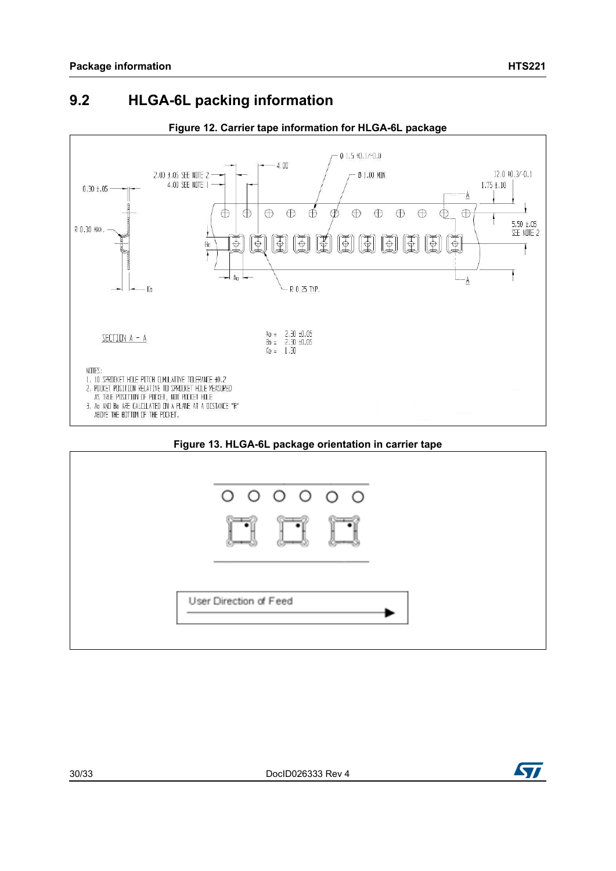### <span id="page-29-0"></span>**9.2 HLGA-6L packing information**

<span id="page-29-1"></span>

#### **Figure 12. Carrier tape information for HLGA-6L package**



<span id="page-29-2"></span>

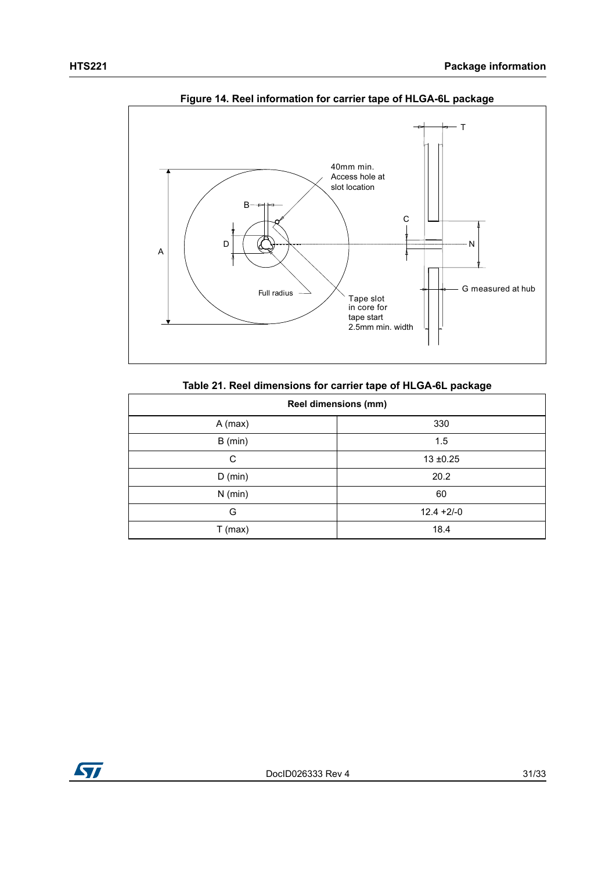<span id="page-30-1"></span>

**Figure 14. Reel information for carrier tape of HLGA-6L package**

| Table 21. Reel dimensions for carrier tape of HLGA-6L package |  |  |  |  |  |  |
|---------------------------------------------------------------|--|--|--|--|--|--|
|---------------------------------------------------------------|--|--|--|--|--|--|

<span id="page-30-0"></span>

| <b>Reel dimensions (mm)</b> |               |  |  |
|-----------------------------|---------------|--|--|
| $A$ (max)                   | 330           |  |  |
| $B$ (min)                   | 1.5           |  |  |
| C                           | $13 + 0.25$   |  |  |
| $D$ (min)                   | 20.2          |  |  |
| $N$ (min)                   | 60            |  |  |
| G                           | $12.4 + 2/-0$ |  |  |
| $T$ (max)                   | 18.4          |  |  |

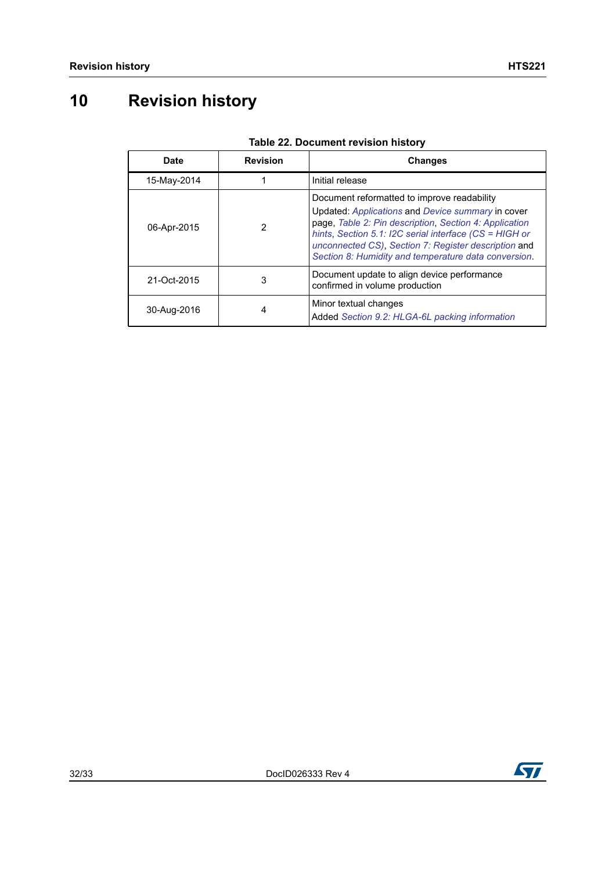# <span id="page-31-0"></span>**10 Revision history**

<span id="page-31-1"></span>

| <b>Date</b> | <b>Revision</b> | <b>Changes</b>                                                                                                                                                                                                                                                                                                                          |
|-------------|-----------------|-----------------------------------------------------------------------------------------------------------------------------------------------------------------------------------------------------------------------------------------------------------------------------------------------------------------------------------------|
| 15-May-2014 |                 | Initial release                                                                                                                                                                                                                                                                                                                         |
| 06-Apr-2015 | 2               | Document reformatted to improve readability<br>Updated: Applications and Device summary in cover<br>page, Table 2: Pin description, Section 4: Application<br>hints, Section 5.1: I2C serial interface $(CS = HIGH)$ or<br>unconnected CS), Section 7: Register description and<br>Section 8: Humidity and temperature data conversion. |
| 21-Oct-2015 | 3               | Document update to align device performance<br>confirmed in volume production                                                                                                                                                                                                                                                           |
| 30-Aug-2016 | 4               | Minor textual changes<br>Added Section 9.2: HLGA-6L packing information                                                                                                                                                                                                                                                                 |

#### **Table 22. Document revision history**